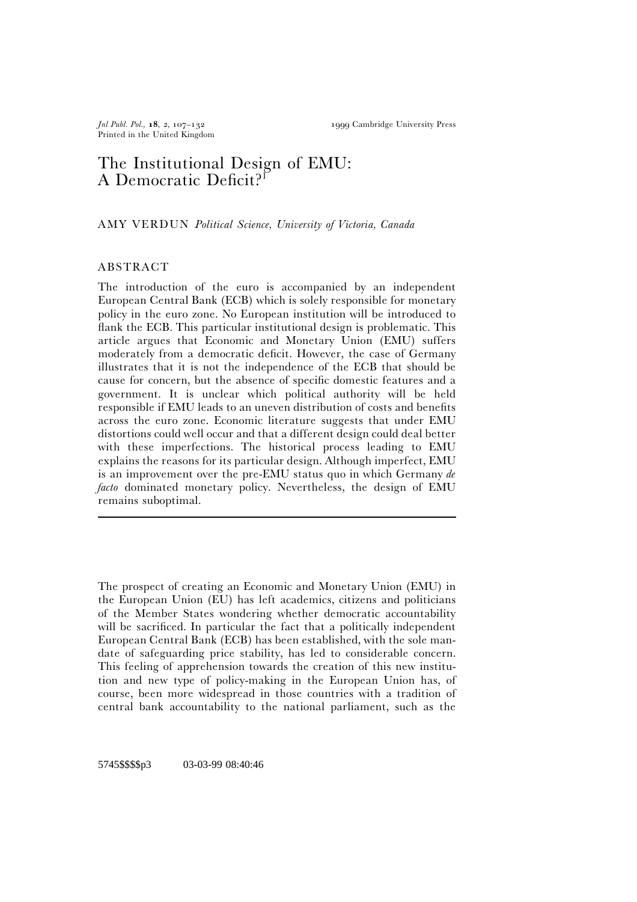# The Institutional Design of EMU: A Democratic Deficit?<sup>1</sup>

AMY VERDUN *Political Science, University of Victoria, Canada*

# ABSTRACT

The introduction of the euro is accompanied by an independent European Central Bank (ECB) which is solely responsible for monetary policy in the euro zone. No European institution will be introduced to flank the ECB. This particular institutional design is problematic. This article argues that Economic and Monetary Union (EMU) suffers moderately from a democratic deficit. However, the case of Germany illustrates that it is not the independence of the ECB that should be cause for concern, but the absence of specific domestic features and a government. It is unclear which political authority will be held responsible if EMU leads to an uneven distribution of costs and benefits across the euro zone. Economic literature suggests that under EMU distortions could well occur and that a different design could deal better with these imperfections. The historical process leading to EMU explains the reasons for its particular design. Although imperfect, EMU is an improvement over the pre-EMU status quo in which Germany *de facto* dominated monetary policy. Nevertheless, the design of EMU remains suboptimal.

The prospect of creating an Economic and Monetary Union (EMU) in the European Union (EU) has left academics, citizens and politicians of the Member States wondering whether democratic accountability will be sacrificed. In particular the fact that a politically independent European Central Bank (ECB) has been established, with the sole mandate of safeguarding price stability, has led to considerable concern. This feeling of apprehension towards the creation of this new institution and new type of policy-making in the European Union has, of course, been more widespread in those countries with a tradition of central bank accountability to the national parliament, such as the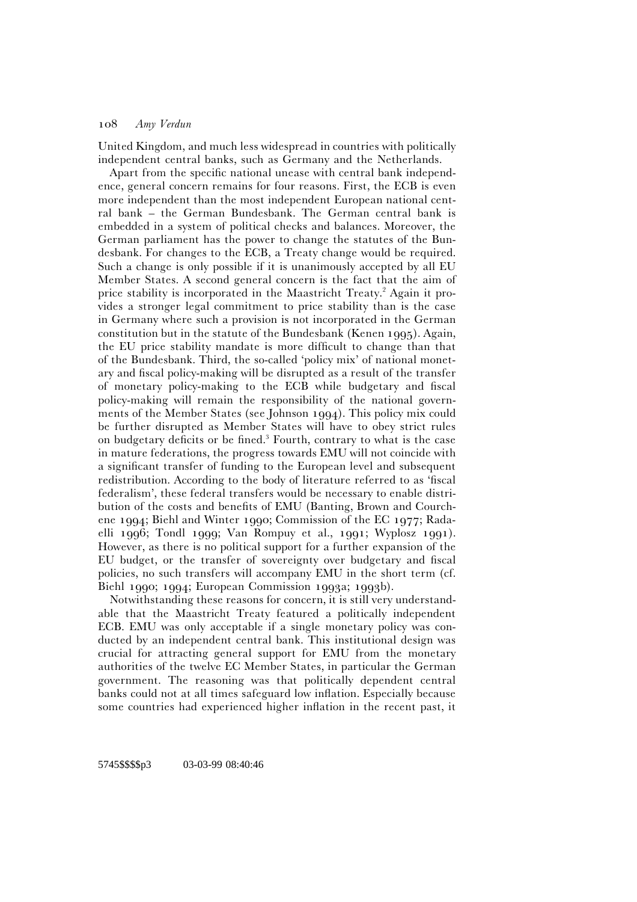United Kingdom, and much less widespread in countries with politically independent central banks, such as Germany and the Netherlands.

Apart from the specific national unease with central bank independence, general concern remains for four reasons. First, the ECB is even more independent than the most independent European national central bank – the German Bundesbank. The German central bank is embedded in a system of political checks and balances. Moreover, the German parliament has the power to change the statutes of the Bundesbank. For changes to the ECB, a Treaty change would be required. Such a change is only possible if it is unanimously accepted by all EU Member States. A second general concern is the fact that the aim of price stability is incorporated in the Maastricht Treaty.2 Again it provides a stronger legal commitment to price stability than is the case in Germany where such a provision is not incorporated in the German constitution but in the statute of the Bundesbank (Kenen 1995). Again, the EU price stability mandate is more difficult to change than that of the Bundesbank. Third, the so-called 'policy mix' of national monetary and fiscal policy-making will be disrupted as a result of the transfer of monetary policy-making to the ECB while budgetary and fiscal policy-making will remain the responsibility of the national governments of the Member States (see Johnson 1994). This policy mix could be further disrupted as Member States will have to obey strict rules on budgetary deficits or be fined.<sup>3</sup> Fourth, contrary to what is the case in mature federations, the progress towards EMU will not coincide with a significant transfer of funding to the European level and subsequent redistribution. According to the body of literature referred to as 'fiscal federalism', these federal transfers would be necessary to enable distribution of the costs and benefits of EMU (Banting, Brown and Courchene 1994; Biehl and Winter 1990; Commission of the EC 1977; Radaelli 1996; Tondl 1999; Van Rompuy et al., 1991; Wyplosz 1991). However, as there is no political support for a further expansion of the EU budget, or the transfer of sovereignty over budgetary and fiscal policies, no such transfers will accompany EMU in the short term (cf. Biehl 1990; 1994; European Commission 1993a; 1993b).

Notwithstanding these reasons for concern, it is still very understandable that the Maastricht Treaty featured a politically independent ECB. EMU was only acceptable if a single monetary policy was conducted by an independent central bank. This institutional design was crucial for attracting general support for EMU from the monetary authorities of the twelve EC Member States, in particular the German government. The reasoning was that politically dependent central banks could not at all times safeguard low inflation. Especially because some countries had experienced higher inflation in the recent past, it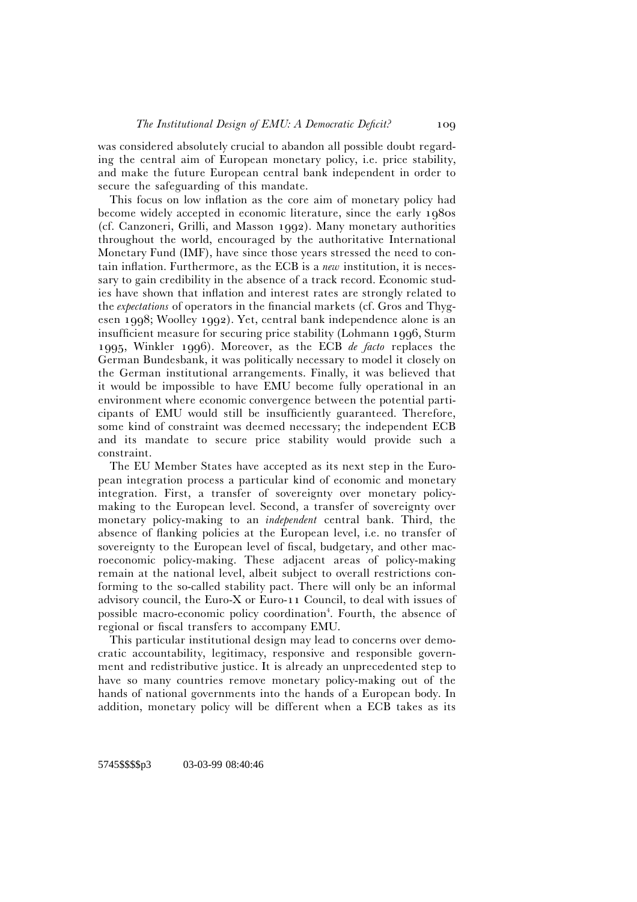was considered absolutely crucial to abandon all possible doubt regarding the central aim of European monetary policy, i.e. price stability, and make the future European central bank independent in order to secure the safeguarding of this mandate.

This focus on low inflation as the core aim of monetary policy had become widely accepted in economic literature, since the early 1980s (cf. Canzoneri, Grilli, and Masson 1992). Many monetary authorities throughout the world, encouraged by the authoritative International Monetary Fund (IMF), have since those years stressed the need to contain inflation. Furthermore, as the ECB is a *new* institution, it is necessary to gain credibility in the absence of a track record. Economic studies have shown that inflation and interest rates are strongly related to the *expectations* of operators in the financial markets (cf. Gros and Thygesen 1998; Woolley 1992). Yet, central bank independence alone is an insufficient measure for securing price stability (Lohmann 1996, Sturm 1995, Winkler 1996). Moreover, as the ECB *de facto* replaces the German Bundesbank, it was politically necessary to model it closely on the German institutional arrangements. Finally, it was believed that it would be impossible to have EMU become fully operational in an environment where economic convergence between the potential participants of EMU would still be insufficiently guaranteed. Therefore, some kind of constraint was deemed necessary; the independent ECB and its mandate to secure price stability would provide such a constraint.

The EU Member States have accepted as its next step in the European integration process a particular kind of economic and monetary integration. First, a transfer of sovereignty over monetary policymaking to the European level. Second, a transfer of sovereignty over monetary policy-making to an *independent* central bank. Third, the absence of flanking policies at the European level, i.e. no transfer of sovereignty to the European level of fiscal, budgetary, and other macroeconomic policy-making. These adjacent areas of policy-making remain at the national level, albeit subject to overall restrictions conforming to the so-called stability pact. There will only be an informal advisory council, the Euro-X or Euro-11 Council, to deal with issues of possible macro-economic policy coordination<sup>4</sup>. Fourth, the absence of regional or fiscal transfers to accompany EMU.

This particular institutional design may lead to concerns over democratic accountability, legitimacy, responsive and responsible government and redistributive justice. It is already an unprecedented step to have so many countries remove monetary policy-making out of the hands of national governments into the hands of a European body. In addition, monetary policy will be different when a ECB takes as its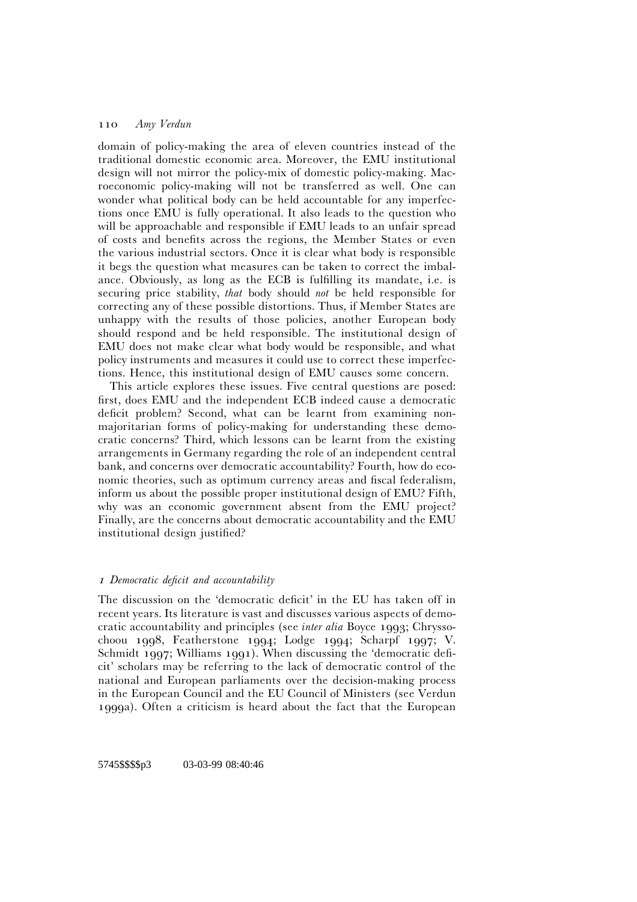domain of policy-making the area of eleven countries instead of the traditional domestic economic area. Moreover, the EMU institutional design will not mirror the policy-mix of domestic policy-making. Macroeconomic policy-making will not be transferred as well. One can wonder what political body can be held accountable for any imperfections once EMU is fully operational. It also leads to the question who will be approachable and responsible if EMU leads to an unfair spread of costs and benefits across the regions, the Member States or even the various industrial sectors. Once it is clear what body is responsible it begs the question what measures can be taken to correct the imbalance. Obviously, as long as the ECB is fulfilling its mandate, i.e. is securing price stability, *that* body should *not* be held responsible for correcting any of these possible distortions. Thus, if Member States are unhappy with the results of those policies, another European body should respond and be held responsible. The institutional design of EMU does not make clear what body would be responsible, and what policy instruments and measures it could use to correct these imperfections. Hence, this institutional design of EMU causes some concern.

This article explores these issues. Five central questions are posed: first, does EMU and the independent ECB indeed cause a democratic deficit problem? Second, what can be learnt from examining nonmajoritarian forms of policy-making for understanding these democratic concerns? Third, which lessons can be learnt from the existing arrangements in Germany regarding the role of an independent central bank, and concerns over democratic accountability? Fourth, how do economic theories, such as optimum currency areas and fiscal federalism, inform us about the possible proper institutional design of EMU? Fifth, why was an economic government absent from the EMU project? Finally, are the concerns about democratic accountability and the EMU institutional design justified?

# *1 Democratic deficit and accountability*

The discussion on the 'democratic deficit' in the EU has taken off in recent years. Its literature is vast and discusses various aspects of democratic accountability and principles (see *inter alia* Boyce 1993; Chryssochoou 1998, Featherstone 1994; Lodge 1994; Scharpf 1997; V. Schmidt 1997; Williams 1991). When discussing the 'democratic deficit' scholars may be referring to the lack of democratic control of the national and European parliaments over the decision-making process in the European Council and the EU Council of Ministers (see Verdun 1999a). Often a criticism is heard about the fact that the European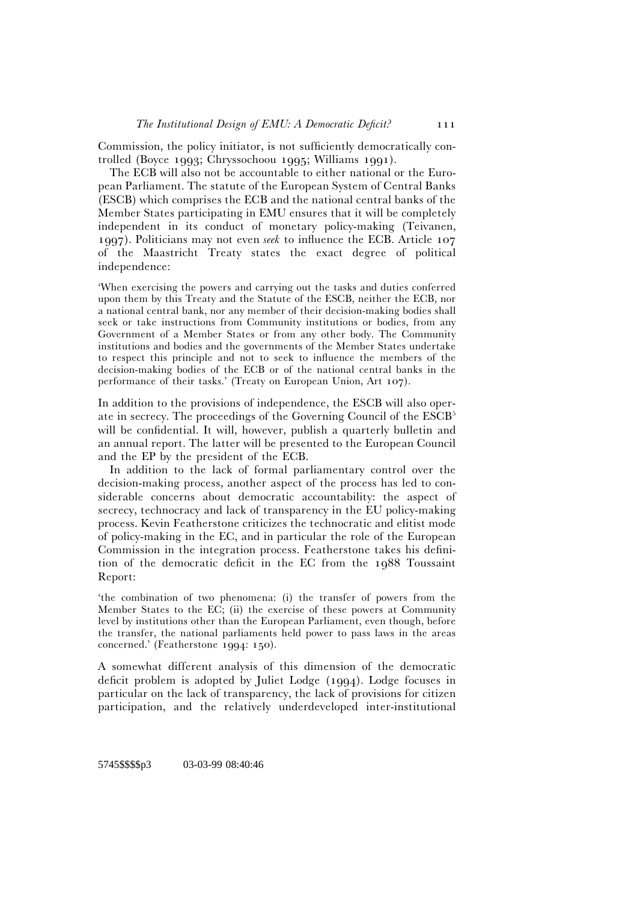Commission, the policy initiator, is not sufficiently democratically controlled (Boyce 1993; Chryssochoou 1995; Williams 1991).

The ECB will also not be accountable to either national or the European Parliament. The statute of the European System of Central Banks (ESCB) which comprises the ECB and the national central banks of the Member States participating in EMU ensures that it will be completely independent in its conduct of monetary policy-making (Teivanen, 1997). Politicians may not even *seek* to influence the ECB. Article 107 of the Maastricht Treaty states the exact degree of political independence:

'When exercising the powers and carrying out the tasks and duties conferred upon them by this Treaty and the Statute of the ESCB, neither the ECB, nor a national central bank, nor any member of their decision-making bodies shall seek or take instructions from Community institutions or bodies, from any Government of a Member States or from any other body. The Community institutions and bodies and the governments of the Member States undertake to respect this principle and not to seek to influence the members of the decision-making bodies of the ECB or of the national central banks in the performance of their tasks.' (Treaty on European Union, Art 107).

In addition to the provisions of independence, the ESCB will also operate in secrecy. The proceedings of the Governing Council of the ESCB<sup>5</sup> will be confidential. It will, however, publish a quarterly bulletin and an annual report. The latter will be presented to the European Council and the EP by the president of the ECB.

In addition to the lack of formal parliamentary control over the decision-making process, another aspect of the process has led to considerable concerns about democratic accountability: the aspect of secrecy, technocracy and lack of transparency in the EU policy-making process. Kevin Featherstone criticizes the technocratic and elitist mode of policy-making in the EC, and in particular the role of the European Commission in the integration process. Featherstone takes his definition of the democratic deficit in the EC from the 1988 Toussaint Report:

'the combination of two phenomena: (i) the transfer of powers from the Member States to the EC; (ii) the exercise of these powers at Community level by institutions other than the European Parliament, even though, before the transfer, the national parliaments held power to pass laws in the areas concerned.' (Featherstone 1994: 150).

A somewhat different analysis of this dimension of the democratic deficit problem is adopted by Juliet Lodge (1994). Lodge focuses in particular on the lack of transparency, the lack of provisions for citizen participation, and the relatively underdeveloped inter-institutional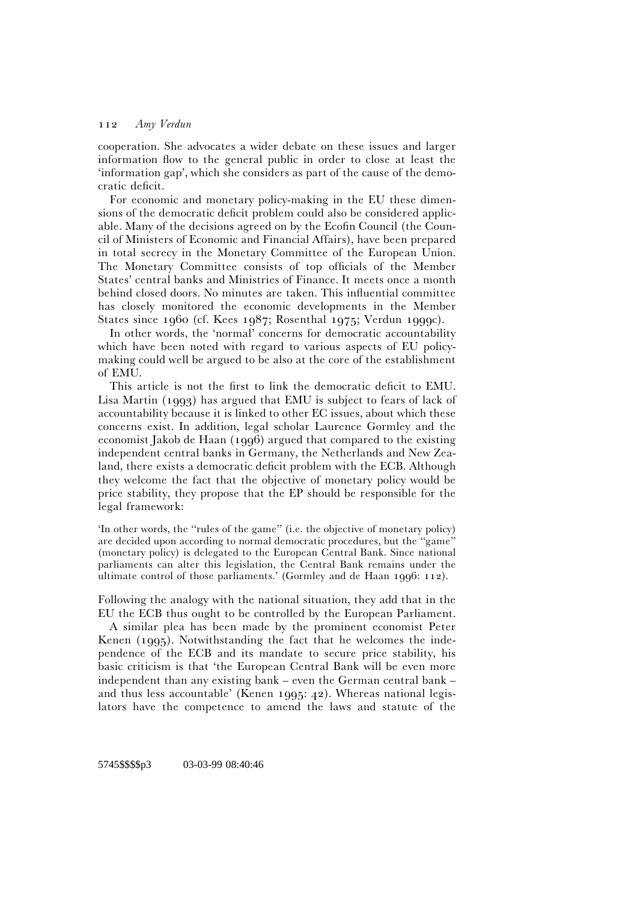cooperation. She advocates a wider debate on these issues and larger information flow to the general public in order to close at least the 'information gap', which she considers as part of the cause of the democratic deficit.

For economic and monetary policy-making in the EU these dimensions of the democratic deficit problem could also be considered applicable. Many of the decisions agreed on by the Ecofin Council (the Council of Ministers of Economic and Financial Affairs), have been prepared in total secrecy in the Monetary Committee of the European Union. The Monetary Committee consists of top officials of the Member States' central banks and Ministries of Finance. It meets once a month behind closed doors. No minutes are taken. This influential committee has closely monitored the economic developments in the Member States since 1960 (cf. Kees 1987; Rosenthal 1975; Verdun 1999c).

In other words, the 'normal' concerns for democratic accountability which have been noted with regard to various aspects of EU policymaking could well be argued to be also at the core of the establishment of EMU.

This article is not the first to link the democratic deficit to EMU. Lisa Martin (1993) has argued that EMU is subject to fears of lack of accountability because it is linked to other EC issues, about which these concerns exist. In addition, legal scholar Laurence Gormley and the economist Jakob de Haan (1996) argued that compared to the existing independent central banks in Germany, the Netherlands and New Zealand, there exists a democratic deficit problem with the ECB. Although they welcome the fact that the objective of monetary policy would be price stability, they propose that the EP should be responsible for the legal framework:

'In other words, the ''rules of the game'' (i.e. the objective of monetary policy) are decided upon according to normal democratic procedures, but the ''game'' (monetary policy) is delegated to the European Central Bank. Since national parliaments can alter this legislation, the Central Bank remains under the ultimate control of those parliaments.' (Gormley and de Haan 1996: 112).

Following the analogy with the national situation, they add that in the EU the ECB thus ought to be controlled by the European Parliament.

A similar plea has been made by the prominent economist Peter Kenen (1995). Notwithstanding the fact that he welcomes the independence of the ECB and its mandate to secure price stability, his basic criticism is that 'the European Central Bank will be even more independent than any existing bank – even the German central bank – and thus less accountable' (Kenen 1995: 42). Whereas national legislators have the competence to amend the laws and statute of the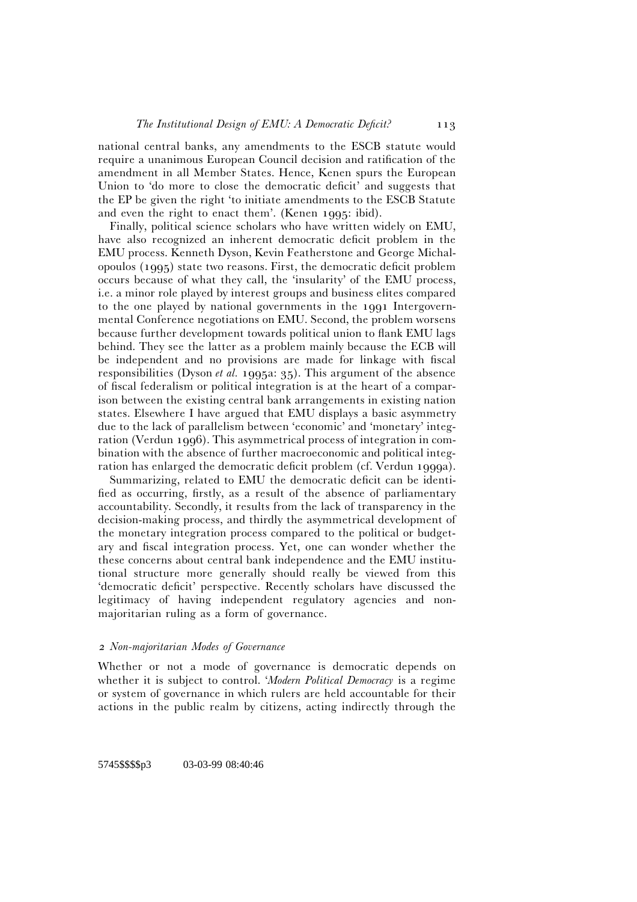national central banks, any amendments to the ESCB statute would require a unanimous European Council decision and ratification of the amendment in all Member States. Hence, Kenen spurs the European Union to 'do more to close the democratic deficit' and suggests that the EP be given the right 'to initiate amendments to the ESCB Statute and even the right to enact them'. (Kenen 1995: ibid).

Finally, political science scholars who have written widely on EMU, have also recognized an inherent democratic deficit problem in the EMU process. Kenneth Dyson, Kevin Featherstone and George Michalopoulos (1995) state two reasons. First, the democratic deficit problem occurs because of what they call, the 'insularity' of the EMU process, i.e. a minor role played by interest groups and business elites compared to the one played by national governments in the 1991 Intergovernmental Conference negotiations on EMU. Second, the problem worsens because further development towards political union to flank EMU lags behind. They see the latter as a problem mainly because the ECB will be independent and no provisions are made for linkage with fiscal responsibilities (Dyson *et al.* 1995a: 35). This argument of the absence of fiscal federalism or political integration is at the heart of a comparison between the existing central bank arrangements in existing nation states. Elsewhere I have argued that EMU displays a basic asymmetry due to the lack of parallelism between 'economic' and 'monetary' integration (Verdun 1996). This asymmetrical process of integration in combination with the absence of further macroeconomic and political integration has enlarged the democratic deficit problem (cf. Verdun 1999a).

Summarizing, related to EMU the democratic deficit can be identified as occurring, firstly, as a result of the absence of parliamentary accountability. Secondly, it results from the lack of transparency in the decision-making process, and thirdly the asymmetrical development of the monetary integration process compared to the political or budgetary and fiscal integration process. Yet, one can wonder whether the these concerns about central bank independence and the EMU institutional structure more generally should really be viewed from this 'democratic deficit' perspective. Recently scholars have discussed the legitimacy of having independent regulatory agencies and nonmajoritarian ruling as a form of governance.

## *2 Non-majoritarian Modes of Governance*

Whether or not a mode of governance is democratic depends on whether it is subject to control. '*Modern Political Democracy* is a regime or system of governance in which rulers are held accountable for their actions in the public realm by citizens, acting indirectly through the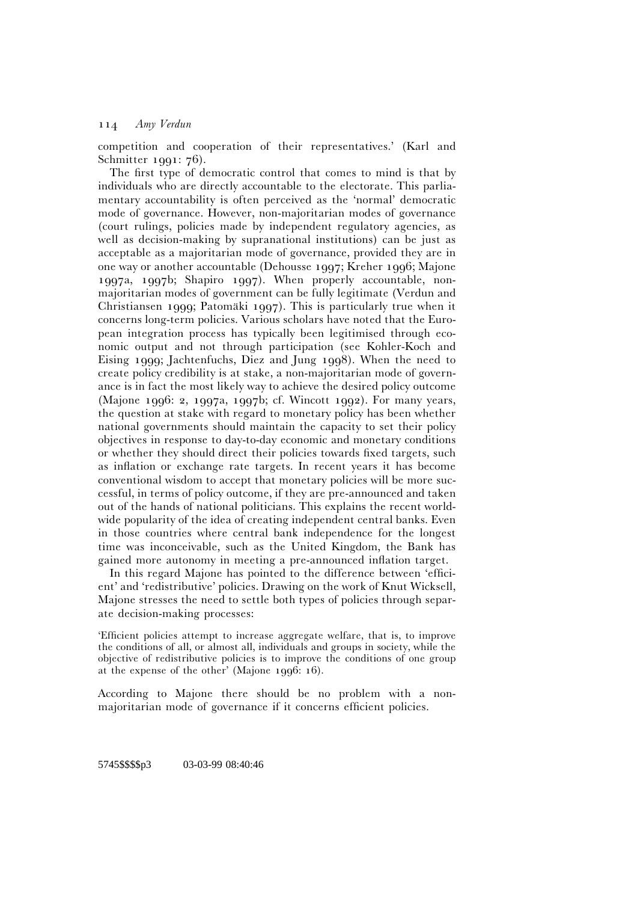competition and cooperation of their representatives.' (Karl and Schmitter 1991: 76).

The first type of democratic control that comes to mind is that by individuals who are directly accountable to the electorate. This parliamentary accountability is often perceived as the 'normal' democratic mode of governance. However, non-majoritarian modes of governance (court rulings, policies made by independent regulatory agencies, as well as decision-making by supranational institutions) can be just as acceptable as a majoritarian mode of governance, provided they are in one way or another accountable (Dehousse 1997; Kreher 1996; Majone 1997a, 1997b; Shapiro 1997). When properly accountable, nonmajoritarian modes of government can be fully legitimate (Verdun and Christiansen 1999; Patomäki 1997). This is particularly true when it concerns long-term policies. Various scholars have noted that the European integration process has typically been legitimised through economic output and not through participation (see Kohler-Koch and Eising 1999; Jachtenfuchs, Diez and Jung 1998). When the need to create policy credibility is at stake, a non-majoritarian mode of governance is in fact the most likely way to achieve the desired policy outcome (Majone 1996: 2, 1997a, 1997b; cf. Wincott 1992). For many years, the question at stake with regard to monetary policy has been whether national governments should maintain the capacity to set their policy objectives in response to day-to-day economic and monetary conditions or whether they should direct their policies towards fixed targets, such as inflation or exchange rate targets. In recent years it has become conventional wisdom to accept that monetary policies will be more successful, in terms of policy outcome, if they are pre-announced and taken out of the hands of national politicians. This explains the recent worldwide popularity of the idea of creating independent central banks. Even in those countries where central bank independence for the longest time was inconceivable, such as the United Kingdom, the Bank has gained more autonomy in meeting a pre-announced inflation target.

In this regard Majone has pointed to the difference between 'efficient' and 'redistributive' policies. Drawing on the work of Knut Wicksell, Majone stresses the need to settle both types of policies through separate decision-making processes:

'Efficient policies attempt to increase aggregate welfare, that is, to improve the conditions of all, or almost all, individuals and groups in society, while the objective of redistributive policies is to improve the conditions of one group at the expense of the other' (Majone 1996: 16).

According to Majone there should be no problem with a nonmajoritarian mode of governance if it concerns efficient policies.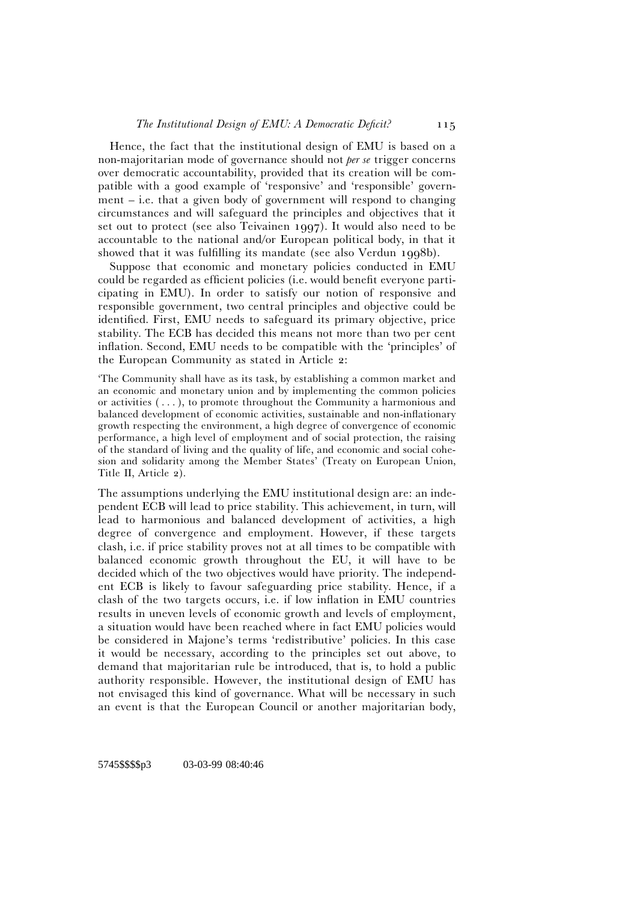Hence, the fact that the institutional design of EMU is based on a non-majoritarian mode of governance should not *per se* trigger concerns over democratic accountability, provided that its creation will be compatible with a good example of 'responsive' and 'responsible' government – i.e. that a given body of government will respond to changing circumstances and will safeguard the principles and objectives that it set out to protect (see also Teivainen 1997). It would also need to be accountable to the national and/or European political body, in that it showed that it was fulfilling its mandate (see also Verdun 1998b).

Suppose that economic and monetary policies conducted in EMU could be regarded as efficient policies (i.e. would benefit everyone participating in EMU). In order to satisfy our notion of responsive and responsible government, two central principles and objective could be identified. First, EMU needs to safeguard its primary objective, price stability. The ECB has decided this means not more than two per cent inflation. Second, EMU needs to be compatible with the 'principles' of the European Community as stated in Article 2:

'The Community shall have as its task, by establishing a common market and an economic and monetary union and by implementing the common policies or activities ( . . . ), to promote throughout the Community a harmonious and balanced development of economic activities, sustainable and non-inflationary growth respecting the environment, a high degree of convergence of economic performance, a high level of employment and of social protection, the raising of the standard of living and the quality of life, and economic and social cohesion and solidarity among the Member States' (Treaty on European Union, Title II, Article 2).

The assumptions underlying the EMU institutional design are: an independent ECB will lead to price stability. This achievement, in turn, will lead to harmonious and balanced development of activities, a high degree of convergence and employment. However, if these targets clash, i.e. if price stability proves not at all times to be compatible with balanced economic growth throughout the EU, it will have to be decided which of the two objectives would have priority. The independent ECB is likely to favour safeguarding price stability. Hence, if a clash of the two targets occurs, i.e. if low inflation in EMU countries results in uneven levels of economic growth and levels of employment, a situation would have been reached where in fact EMU policies would be considered in Majone's terms 'redistributive' policies. In this case it would be necessary, according to the principles set out above, to demand that majoritarian rule be introduced, that is, to hold a public authority responsible. However, the institutional design of EMU has not envisaged this kind of governance. What will be necessary in such an event is that the European Council or another majoritarian body,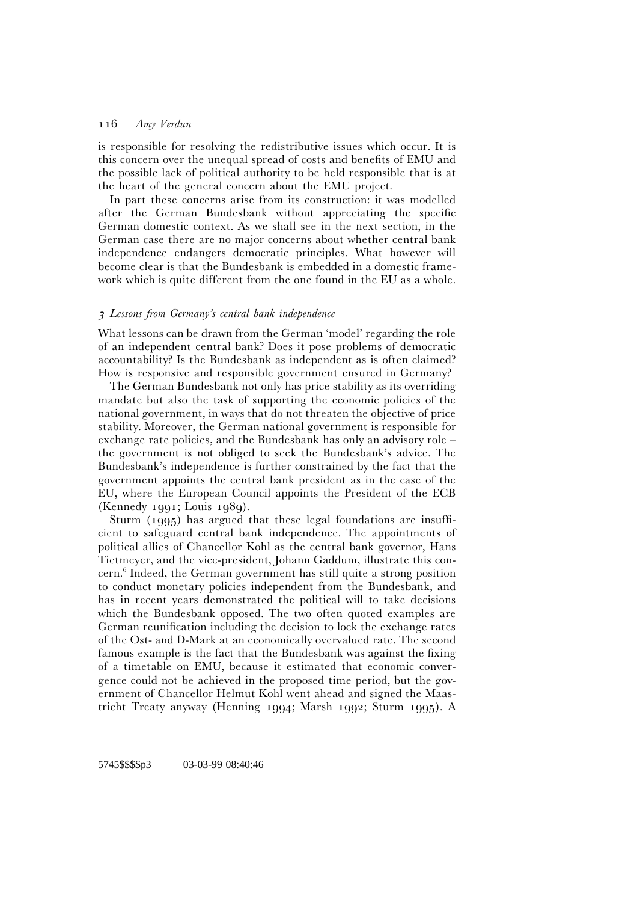is responsible for resolving the redistributive issues which occur. It is this concern over the unequal spread of costs and benefits of EMU and the possible lack of political authority to be held responsible that is at the heart of the general concern about the EMU project.

In part these concerns arise from its construction: it was modelled after the German Bundesbank without appreciating the specific German domestic context. As we shall see in the next section, in the German case there are no major concerns about whether central bank independence endangers democratic principles. What however will become clear is that the Bundesbank is embedded in a domestic framework which is quite different from the one found in the EU as a whole.

# *3 Lessons from Germany's central bank independence*

What lessons can be drawn from the German 'model' regarding the role of an independent central bank? Does it pose problems of democratic accountability? Is the Bundesbank as independent as is often claimed? How is responsive and responsible government ensured in Germany?

The German Bundesbank not only has price stability as its overriding mandate but also the task of supporting the economic policies of the national government, in ways that do not threaten the objective of price stability. Moreover, the German national government is responsible for exchange rate policies, and the Bundesbank has only an advisory role – the government is not obliged to seek the Bundesbank's advice. The Bundesbank's independence is further constrained by the fact that the government appoints the central bank president as in the case of the EU, where the European Council appoints the President of the ECB (Kennedy 1991; Louis 1989).

Sturm (1995) has argued that these legal foundations are insufficient to safeguard central bank independence. The appointments of political allies of Chancellor Kohl as the central bank governor, Hans Tietmeyer, and the vice-president, Johann Gaddum, illustrate this concern.<sup>6</sup> Indeed, the German government has still quite a strong position to conduct monetary policies independent from the Bundesbank, and has in recent years demonstrated the political will to take decisions which the Bundesbank opposed. The two often quoted examples are German reunification including the decision to lock the exchange rates of the Ost- and D-Mark at an economically overvalued rate. The second famous example is the fact that the Bundesbank was against the fixing of a timetable on EMU, because it estimated that economic convergence could not be achieved in the proposed time period, but the government of Chancellor Helmut Kohl went ahead and signed the Maastricht Treaty anyway (Henning 1994; Marsh 1992; Sturm 1995). A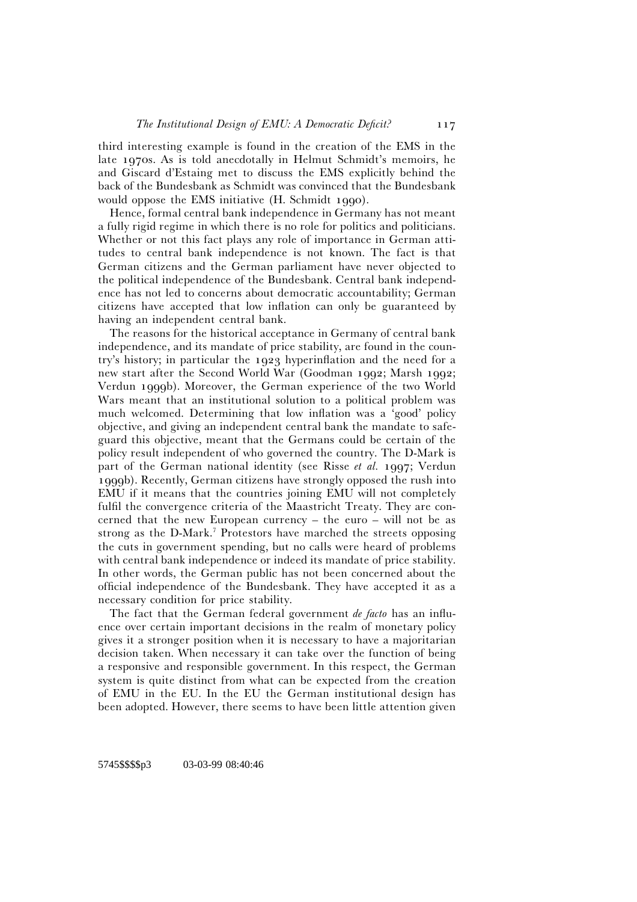third interesting example is found in the creation of the EMS in the late 1970s. As is told anecdotally in Helmut Schmidt's memoirs, he and Giscard d'Estaing met to discuss the EMS explicitly behind the back of the Bundesbank as Schmidt was convinced that the Bundesbank would oppose the EMS initiative (H. Schmidt 1990).

Hence, formal central bank independence in Germany has not meant a fully rigid regime in which there is no role for politics and politicians. Whether or not this fact plays any role of importance in German attitudes to central bank independence is not known. The fact is that German citizens and the German parliament have never objected to the political independence of the Bundesbank. Central bank independence has not led to concerns about democratic accountability; German citizens have accepted that low inflation can only be guaranteed by having an independent central bank.

The reasons for the historical acceptance in Germany of central bank independence, and its mandate of price stability, are found in the country's history; in particular the 1923 hyperinflation and the need for a new start after the Second World War (Goodman 1992; Marsh 1992; Verdun 1999b). Moreover, the German experience of the two World Wars meant that an institutional solution to a political problem was much welcomed. Determining that low inflation was a 'good' policy objective, and giving an independent central bank the mandate to safeguard this objective, meant that the Germans could be certain of the policy result independent of who governed the country. The D-Mark is part of the German national identity (see Risse *et al.* 1997; Verdun 1999b). Recently, German citizens have strongly opposed the rush into EMU if it means that the countries joining EMU will not completely fulfil the convergence criteria of the Maastricht Treaty. They are concerned that the new European currency – the euro – will not be as strong as the D-Mark.<sup>7</sup> Protestors have marched the streets opposing the cuts in government spending, but no calls were heard of problems with central bank independence or indeed its mandate of price stability. In other words, the German public has not been concerned about the official independence of the Bundesbank. They have accepted it as a necessary condition for price stability.

The fact that the German federal government *de facto* has an influence over certain important decisions in the realm of monetary policy gives it a stronger position when it is necessary to have a majoritarian decision taken. When necessary it can take over the function of being a responsive and responsible government. In this respect, the German system is quite distinct from what can be expected from the creation of EMU in the EU. In the EU the German institutional design has been adopted. However, there seems to have been little attention given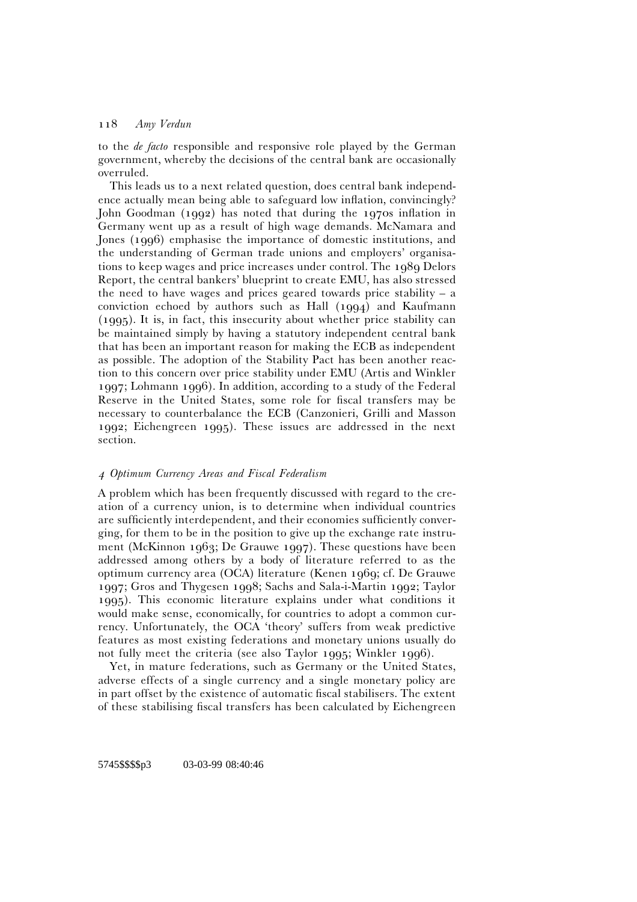to the *de facto* responsible and responsive role played by the German government, whereby the decisions of the central bank are occasionally overruled.

This leads us to a next related question, does central bank independence actually mean being able to safeguard low inflation, convincingly? John Goodman (1992) has noted that during the 1970s inflation in Germany went up as a result of high wage demands. McNamara and Jones (1996) emphasise the importance of domestic institutions, and the understanding of German trade unions and employers' organisations to keep wages and price increases under control. The 1989 Delors Report, the central bankers' blueprint to create EMU, has also stressed the need to have wages and prices geared towards price stability  $- a$ conviction echoed by authors such as Hall (1994) and Kaufmann (1995). It is, in fact, this insecurity about whether price stability can be maintained simply by having a statutory independent central bank that has been an important reason for making the ECB as independent as possible. The adoption of the Stability Pact has been another reaction to this concern over price stability under EMU (Artis and Winkler 1997; Lohmann 1996). In addition, according to a study of the Federal Reserve in the United States, some role for fiscal transfers may be necessary to counterbalance the ECB (Canzonieri, Grilli and Masson 1992; Eichengreen 1995). These issues are addressed in the next section.

# *4 Optimum Currency Areas and Fiscal Federalism*

A problem which has been frequently discussed with regard to the creation of a currency union, is to determine when individual countries are sufficiently interdependent, and their economies sufficiently converging, for them to be in the position to give up the exchange rate instrument (McKinnon 1963; De Grauwe 1997). These questions have been addressed among others by a body of literature referred to as the optimum currency area (OCA) literature (Kenen 1969; cf. De Grauwe 1997; Gros and Thygesen 1998; Sachs and Sala-i-Martin 1992; Taylor 1995). This economic literature explains under what conditions it would make sense, economically, for countries to adopt a common currency. Unfortunately, the OCA 'theory' suffers from weak predictive features as most existing federations and monetary unions usually do not fully meet the criteria (see also Taylor 1995; Winkler 1996).

Yet, in mature federations, such as Germany or the United States, adverse effects of a single currency and a single monetary policy are in part offset by the existence of automatic fiscal stabilisers. The extent of these stabilising fiscal transfers has been calculated by Eichengreen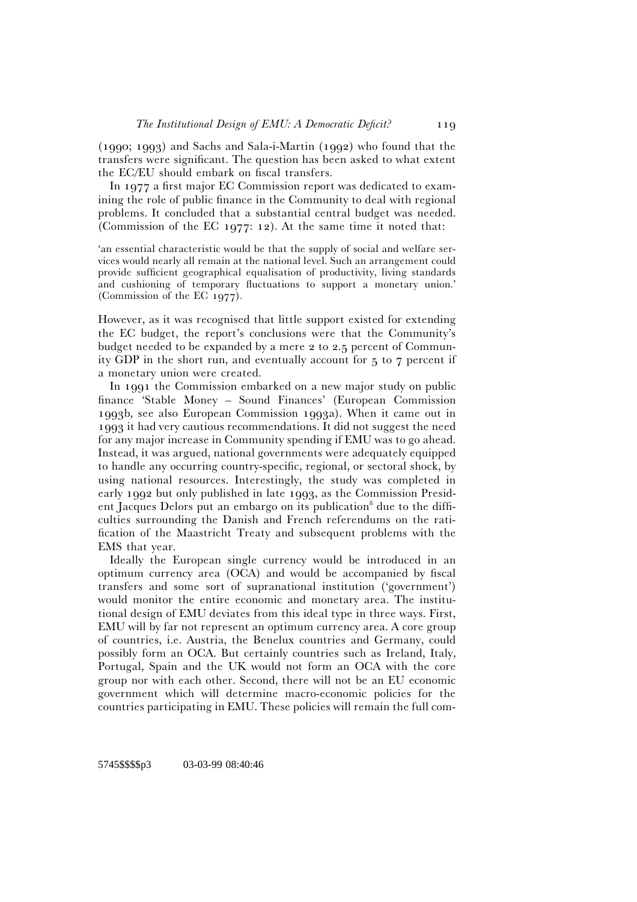(1990; 1993) and Sachs and Sala-i-Martin (1992) who found that the transfers were significant. The question has been asked to what extent the EC/EU should embark on fiscal transfers.

In 1977 a first major EC Commission report was dedicated to examining the role of public finance in the Community to deal with regional problems. It concluded that a substantial central budget was needed. (Commission of the EC 1977: 12). At the same time it noted that:

'an essential characteristic would be that the supply of social and welfare services would nearly all remain at the national level. Such an arrangement could provide sufficient geographical equalisation of productivity, living standards and cushioning of temporary fluctuations to support a monetary union.' (Commission of the EC 1977).

However, as it was recognised that little support existed for extending the EC budget, the report's conclusions were that the Community's budget needed to be expanded by a mere 2 to 2.5 percent of Community GDP in the short run, and eventually account for 5 to 7 percent if a monetary union were created.

In 1991 the Commission embarked on a new major study on public finance 'Stable Money – Sound Finances' (European Commission 1993b, see also European Commission 1993a). When it came out in 1993 it had very cautious recommendations. It did not suggest the need for any major increase in Community spending if EMU was to go ahead. Instead, it was argued, national governments were adequately equipped to handle any occurring country-specific, regional, or sectoral shock, by using national resources. Interestingly, the study was completed in early 1992 but only published in late 1993, as the Commission President Jacques Delors put an embargo on its publication<sup>8</sup> due to the difficulties surrounding the Danish and French referendums on the ratification of the Maastricht Treaty and subsequent problems with the EMS that year.

Ideally the European single currency would be introduced in an optimum currency area (OCA) and would be accompanied by fiscal transfers and some sort of supranational institution ('government') would monitor the entire economic and monetary area. The institutional design of EMU deviates from this ideal type in three ways. First, EMU will by far not represent an optimum currency area. A core group of countries, i.e. Austria, the Benelux countries and Germany, could possibly form an OCA. But certainly countries such as Ireland, Italy, Portugal, Spain and the UK would not form an OCA with the core group nor with each other. Second, there will not be an EU economic government which will determine macro-economic policies for the countries participating in EMU. These policies will remain the full com-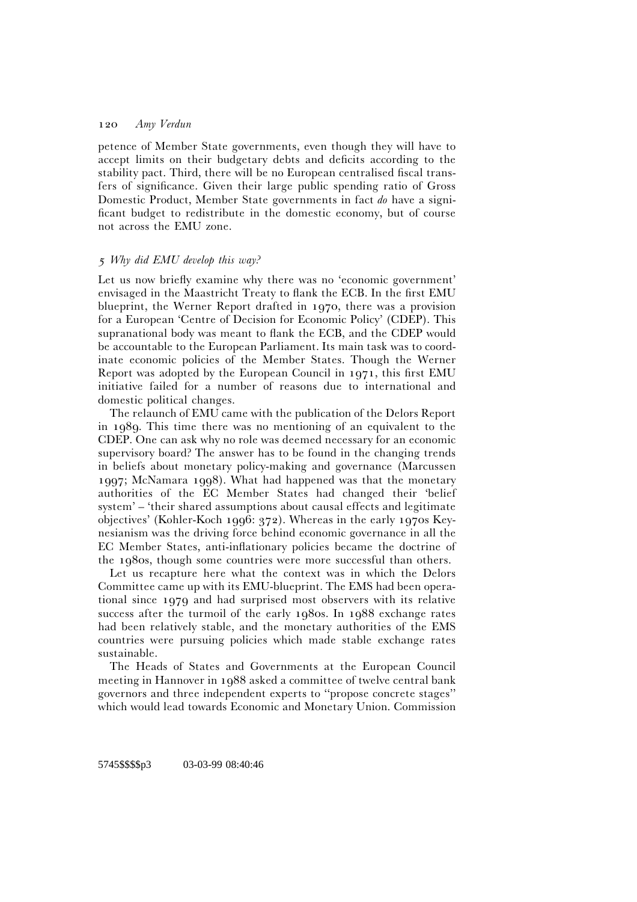petence of Member State governments, even though they will have to accept limits on their budgetary debts and deficits according to the stability pact. Third, there will be no European centralised fiscal transfers of significance. Given their large public spending ratio of Gross Domestic Product, Member State governments in fact *do* have a significant budget to redistribute in the domestic economy, but of course not across the EMU zone.

# *5 Why did EMU develop this way?*

Let us now briefly examine why there was no 'economic government' envisaged in the Maastricht Treaty to flank the ECB. In the first EMU blueprint, the Werner Report drafted in 1970, there was a provision for a European 'Centre of Decision for Economic Policy' (CDEP). This supranational body was meant to flank the ECB, and the CDEP would be accountable to the European Parliament. Its main task was to coordinate economic policies of the Member States. Though the Werner Report was adopted by the European Council in 1971, this first EMU initiative failed for a number of reasons due to international and domestic political changes.

The relaunch of EMU came with the publication of the Delors Report in 1989. This time there was no mentioning of an equivalent to the CDEP. One can ask why no role was deemed necessary for an economic supervisory board? The answer has to be found in the changing trends in beliefs about monetary policy-making and governance (Marcussen 1997; McNamara 1998). What had happened was that the monetary authorities of the EC Member States had changed their 'belief system' – 'their shared assumptions about causal effects and legitimate objectives' (Kohler-Koch 1996: 372). Whereas in the early 1970s Keynesianism was the driving force behind economic governance in all the EC Member States, anti-inflationary policies became the doctrine of the 1980s, though some countries were more successful than others.

Let us recapture here what the context was in which the Delors Committee came up with its EMU-blueprint. The EMS had been operational since 1979 and had surprised most observers with its relative success after the turmoil of the early 1980s. In 1988 exchange rates had been relatively stable, and the monetary authorities of the EMS countries were pursuing policies which made stable exchange rates sustainable.

The Heads of States and Governments at the European Council meeting in Hannover in 1988 asked a committee of twelve central bank governors and three independent experts to ''propose concrete stages'' which would lead towards Economic and Monetary Union. Commission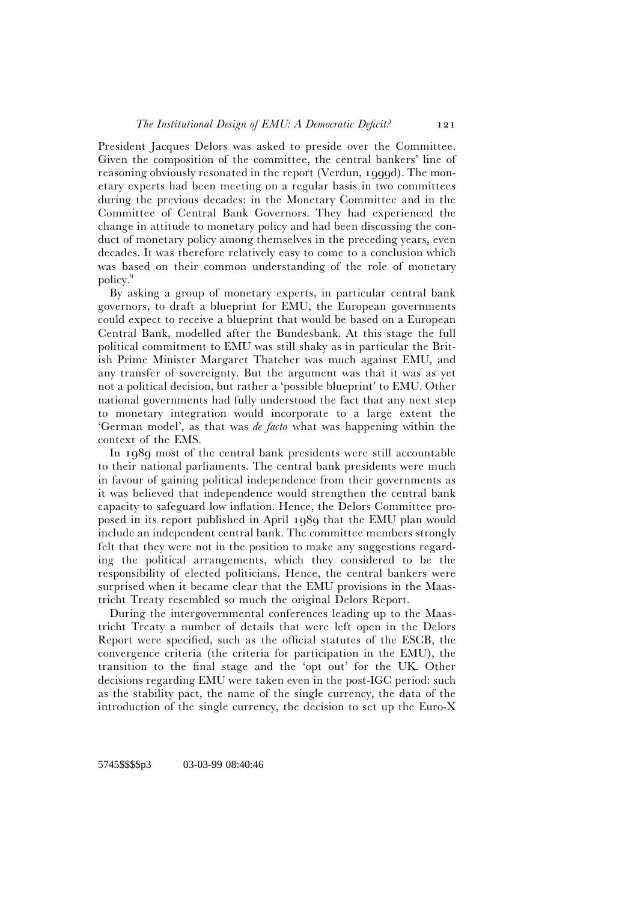President Jacques Delors was asked to preside over the Committee. Given the composition of the committee, the central bankers' line of reasoning obviously resonated in the report (Verdun, 1999d). The monetary experts had been meeting on a regular basis in two committees during the previous decades: in the Monetary Committee and in the Committee of Central Bank Governors. They had experienced the change in attitude to monetary policy and had been discussing the conduct of monetary policy among themselves in the preceding years, even decades. It was therefore relatively easy to come to a conclusion which was based on their common understanding of the role of monetary policy.9

By asking a group of monetary experts, in particular central bank governors, to draft a blueprint for EMU, the European governments could expect to receive a blueprint that would be based on a European Central Bank, modelled after the Bundesbank. At this stage the full political commitment to EMU was still shaky as in particular the British Prime Minister Margaret Thatcher was much against EMU, and any transfer of sovereignty. But the argument was that it was as yet not a political decision, but rather a 'possible blueprint' to EMU. Other national governments had fully understood the fact that any next step to monetary integration would incorporate to a large extent the 'German model', as that was *de facto* what was happening within the context of the EMS.

In 1989 most of the central bank presidents were still accountable to their national parliaments. The central bank presidents were much in favour of gaining political independence from their governments as it was believed that independence would strengthen the central bank capacity to safeguard low inflation. Hence, the Delors Committee proposed in its report published in April 1989 that the EMU plan would include an independent central bank. The committee members strongly felt that they were not in the position to make any suggestions regarding the political arrangements, which they considered to be the responsibility of elected politicians. Hence, the central bankers were surprised when it became clear that the EMU provisions in the Maastricht Treaty resembled so much the original Delors Report.

During the intergovernmental conferences leading up to the Maastricht Treaty a number of details that were left open in the Delors Report were specified, such as the official statutes of the ESCB, the convergence criteria (the criteria for participation in the EMU), the transition to the final stage and the 'opt out' for the UK. Other decisions regarding EMU were taken even in the post-IGC period: such as the stability pact, the name of the single currency, the data of the introduction of the single currency, the decision to set up the Euro-X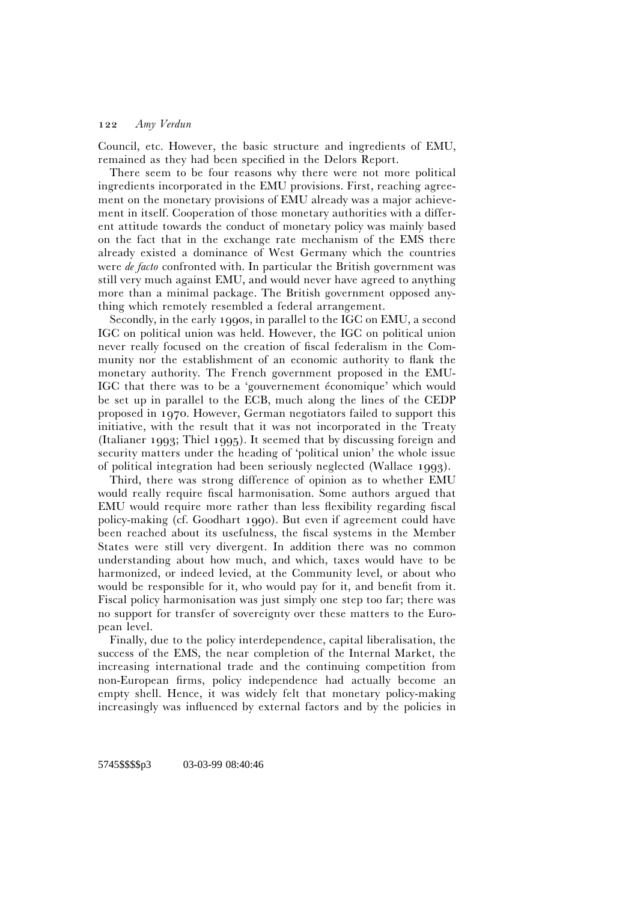Council, etc. However, the basic structure and ingredients of EMU, remained as they had been specified in the Delors Report.

There seem to be four reasons why there were not more political ingredients incorporated in the EMU provisions. First, reaching agreement on the monetary provisions of EMU already was a major achievement in itself. Cooperation of those monetary authorities with a different attitude towards the conduct of monetary policy was mainly based on the fact that in the exchange rate mechanism of the EMS there already existed a dominance of West Germany which the countries were *de facto* confronted with. In particular the British government was still very much against EMU, and would never have agreed to anything more than a minimal package. The British government opposed anything which remotely resembled a federal arrangement.

Secondly, in the early 1990s, in parallel to the IGC on EMU, a second IGC on political union was held. However, the IGC on political union never really focused on the creation of fiscal federalism in the Community nor the establishment of an economic authority to flank the monetary authority. The French government proposed in the EMU-IGC that there was to be a 'gouvernement économique' which would be set up in parallel to the ECB, much along the lines of the CEDP proposed in 1970. However, German negotiators failed to support this initiative, with the result that it was not incorporated in the Treaty (Italianer 1993; Thiel 1995). It seemed that by discussing foreign and security matters under the heading of 'political union' the whole issue of political integration had been seriously neglected (Wallace 1993).

Third, there was strong difference of opinion as to whether EMU would really require fiscal harmonisation. Some authors argued that EMU would require more rather than less flexibility regarding fiscal policy-making (cf. Goodhart 1990). But even if agreement could have been reached about its usefulness, the fiscal systems in the Member States were still very divergent. In addition there was no common understanding about how much, and which, taxes would have to be harmonized, or indeed levied, at the Community level, or about who would be responsible for it, who would pay for it, and benefit from it. Fiscal policy harmonisation was just simply one step too far; there was no support for transfer of sovereignty over these matters to the European level.

Finally, due to the policy interdependence, capital liberalisation, the success of the EMS, the near completion of the Internal Market, the increasing international trade and the continuing competition from non-European firms, policy independence had actually become an empty shell. Hence, it was widely felt that monetary policy-making increasingly was influenced by external factors and by the policies in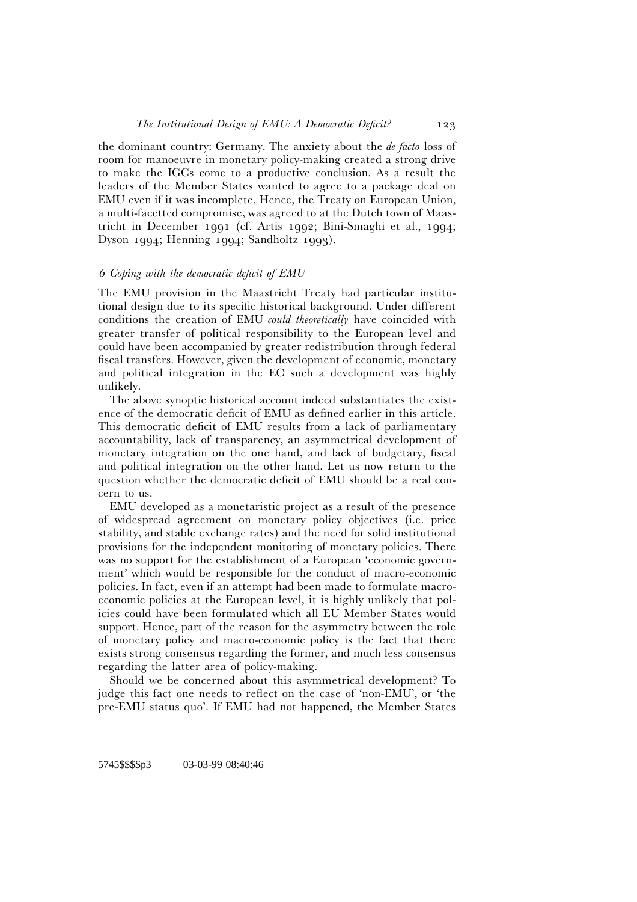the dominant country: Germany. The anxiety about the *de facto* loss of room for manoeuvre in monetary policy-making created a strong drive to make the IGCs come to a productive conclusion. As a result the leaders of the Member States wanted to agree to a package deal on EMU even if it was incomplete. Hence, the Treaty on European Union, a multi-facetted compromise, was agreed to at the Dutch town of Maastricht in December 1991 (cf. Artis 1992; Bini-Smaghi et al., 1994; Dyson 1994; Henning 1994; Sandholtz 1993).

#### *6 Coping with the democratic deficit of EMU*

The EMU provision in the Maastricht Treaty had particular institutional design due to its specific historical background. Under different conditions the creation of EMU *could theoretically* have coincided with greater transfer of political responsibility to the European level and could have been accompanied by greater redistribution through federal fiscal transfers. However, given the development of economic, monetary and political integration in the EC such a development was highly unlikely.

The above synoptic historical account indeed substantiates the existence of the democratic deficit of EMU as defined earlier in this article. This democratic deficit of EMU results from a lack of parliamentary accountability, lack of transparency, an asymmetrical development of monetary integration on the one hand, and lack of budgetary, fiscal and political integration on the other hand. Let us now return to the question whether the democratic deficit of EMU should be a real concern to us.

EMU developed as a monetaristic project as a result of the presence of widespread agreement on monetary policy objectives (i.e. price stability, and stable exchange rates) and the need for solid institutional provisions for the independent monitoring of monetary policies. There was no support for the establishment of a European 'economic government' which would be responsible for the conduct of macro-economic policies. In fact, even if an attempt had been made to formulate macroeconomic policies at the European level, it is highly unlikely that policies could have been formulated which all EU Member States would support. Hence, part of the reason for the asymmetry between the role of monetary policy and macro-economic policy is the fact that there exists strong consensus regarding the former, and much less consensus regarding the latter area of policy-making.

Should we be concerned about this asymmetrical development? To judge this fact one needs to reflect on the case of 'non-EMU', or 'the pre-EMU status quo'. If EMU had not happened, the Member States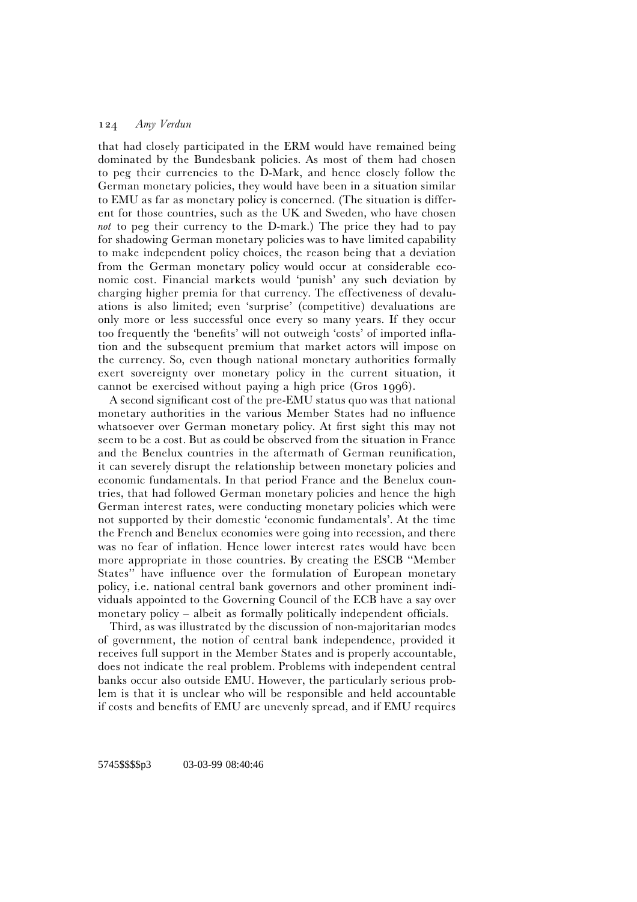that had closely participated in the ERM would have remained being dominated by the Bundesbank policies. As most of them had chosen to peg their currencies to the D-Mark, and hence closely follow the German monetary policies, they would have been in a situation similar to EMU as far as monetary policy is concerned. (The situation is different for those countries, such as the UK and Sweden, who have chosen *not* to peg their currency to the D-mark.) The price they had to pay for shadowing German monetary policies was to have limited capability to make independent policy choices, the reason being that a deviation from the German monetary policy would occur at considerable economic cost. Financial markets would 'punish' any such deviation by charging higher premia for that currency. The effectiveness of devaluations is also limited; even 'surprise' (competitive) devaluations are only more or less successful once every so many years. If they occur too frequently the 'benefits' will not outweigh 'costs' of imported inflation and the subsequent premium that market actors will impose on the currency. So, even though national monetary authorities formally exert sovereignty over monetary policy in the current situation, it cannot be exercised without paying a high price (Gros 1996).

A second significant cost of the pre-EMU status quo was that national monetary authorities in the various Member States had no influence whatsoever over German monetary policy. At first sight this may not seem to be a cost. But as could be observed from the situation in France and the Benelux countries in the aftermath of German reunification, it can severely disrupt the relationship between monetary policies and economic fundamentals. In that period France and the Benelux countries, that had followed German monetary policies and hence the high German interest rates, were conducting monetary policies which were not supported by their domestic 'economic fundamentals'. At the time the French and Benelux economies were going into recession, and there was no fear of inflation. Hence lower interest rates would have been more appropriate in those countries. By creating the ESCB ''Member States'' have influence over the formulation of European monetary policy, i.e. national central bank governors and other prominent individuals appointed to the Governing Council of the ECB have a say over monetary policy – albeit as formally politically independent officials.

Third, as was illustrated by the discussion of non-majoritarian modes of government, the notion of central bank independence, provided it receives full support in the Member States and is properly accountable, does not indicate the real problem. Problems with independent central banks occur also outside EMU. However, the particularly serious problem is that it is unclear who will be responsible and held accountable if costs and benefits of EMU are unevenly spread, and if EMU requires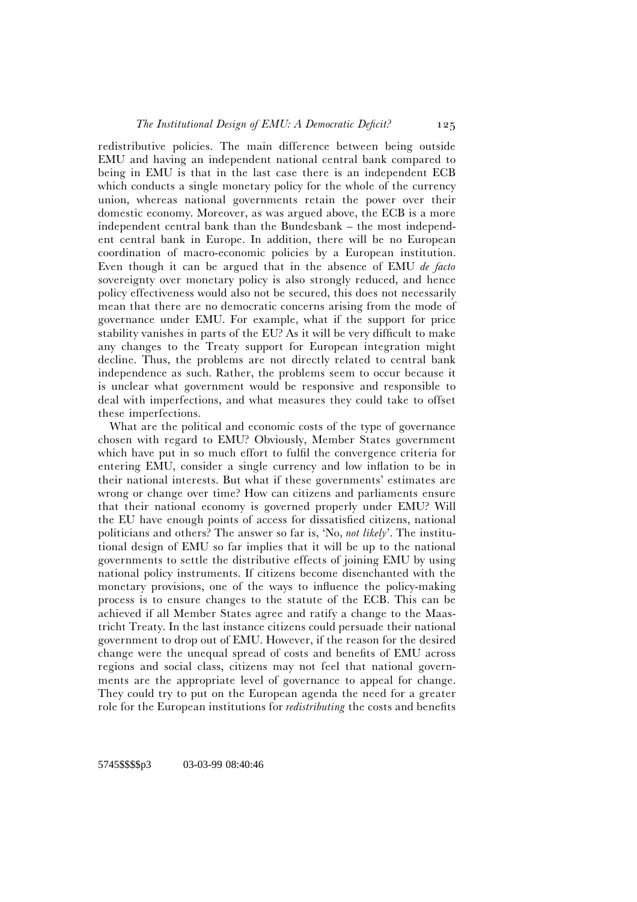redistributive policies. The main difference between being outside EMU and having an independent national central bank compared to being in EMU is that in the last case there is an independent ECB which conducts a single monetary policy for the whole of the currency union, whereas national governments retain the power over their domestic economy. Moreover, as was argued above, the ECB is a more independent central bank than the Bundesbank – the most independent central bank in Europe. In addition, there will be no European coordination of macro-economic policies by a European institution. Even though it can be argued that in the absence of EMU *de facto* sovereignty over monetary policy is also strongly reduced, and hence policy effectiveness would also not be secured, this does not necessarily mean that there are no democratic concerns arising from the mode of governance under EMU. For example, what if the support for price stability vanishes in parts of the EU? As it will be very difficult to make any changes to the Treaty support for European integration might decline. Thus, the problems are not directly related to central bank independence as such. Rather, the problems seem to occur because it is unclear what government would be responsive and responsible to deal with imperfections, and what measures they could take to offset these imperfections.

What are the political and economic costs of the type of governance chosen with regard to EMU? Obviously, Member States government which have put in so much effort to fulfil the convergence criteria for entering EMU, consider a single currency and low inflation to be in their national interests. But what if these governments' estimates are wrong or change over time? How can citizens and parliaments ensure that their national economy is governed properly under EMU? Will the EU have enough points of access for dissatisfied citizens, national politicians and others? The answer so far is, 'No, *not likely*'. The institutional design of EMU so far implies that it will be up to the national governments to settle the distributive effects of joining EMU by using national policy instruments. If citizens become disenchanted with the monetary provisions, one of the ways to influence the policy-making process is to ensure changes to the statute of the ECB. This can be achieved if all Member States agree and ratify a change to the Maastricht Treaty. In the last instance citizens could persuade their national government to drop out of EMU. However, if the reason for the desired change were the unequal spread of costs and benefits of EMU across regions and social class, citizens may not feel that national governments are the appropriate level of governance to appeal for change. They could try to put on the European agenda the need for a greater role for the European institutions for *redistributing* the costs and benefits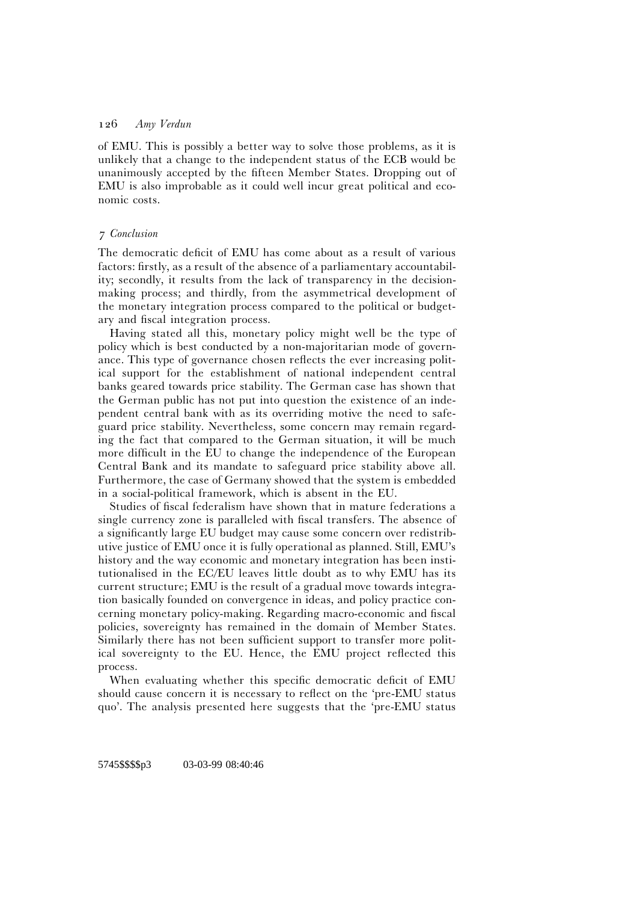of EMU. This is possibly a better way to solve those problems, as it is unlikely that a change to the independent status of the ECB would be unanimously accepted by the fifteen Member States. Dropping out of EMU is also improbable as it could well incur great political and economic costs.

# *7 Conclusion*

The democratic deficit of EMU has come about as a result of various factors: firstly, as a result of the absence of a parliamentary accountability; secondly, it results from the lack of transparency in the decisionmaking process; and thirdly, from the asymmetrical development of the monetary integration process compared to the political or budgetary and fiscal integration process.

Having stated all this, monetary policy might well be the type of policy which is best conducted by a non-majoritarian mode of governance. This type of governance chosen reflects the ever increasing political support for the establishment of national independent central banks geared towards price stability. The German case has shown that the German public has not put into question the existence of an independent central bank with as its overriding motive the need to safeguard price stability. Nevertheless, some concern may remain regarding the fact that compared to the German situation, it will be much more difficult in the EU to change the independence of the European Central Bank and its mandate to safeguard price stability above all. Furthermore, the case of Germany showed that the system is embedded in a social-political framework, which is absent in the EU.

Studies of fiscal federalism have shown that in mature federations a single currency zone is paralleled with fiscal transfers. The absence of a significantly large EU budget may cause some concern over redistributive justice of EMU once it is fully operational as planned. Still, EMU's history and the way economic and monetary integration has been institutionalised in the EC/EU leaves little doubt as to why EMU has its current structure; EMU is the result of a gradual move towards integration basically founded on convergence in ideas, and policy practice concerning monetary policy-making. Regarding macro-economic and fiscal policies, sovereignty has remained in the domain of Member States. Similarly there has not been sufficient support to transfer more political sovereignty to the EU. Hence, the EMU project reflected this process.

When evaluating whether this specific democratic deficit of EMU should cause concern it is necessary to reflect on the 'pre-EMU status quo'. The analysis presented here suggests that the 'pre-EMU status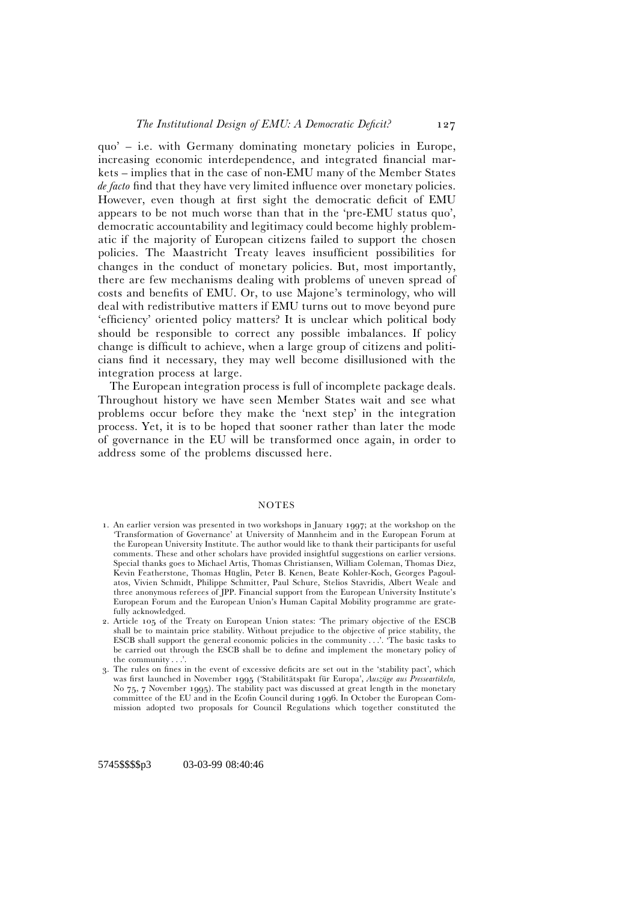quo' – i.e. with Germany dominating monetary policies in Europe, increasing economic interdependence, and integrated financial markets – implies that in the case of non-EMU many of the Member States *de facto* find that they have very limited influence over monetary policies. However, even though at first sight the democratic deficit of EMU appears to be not much worse than that in the 'pre-EMU status quo', democratic accountability and legitimacy could become highly problematic if the majority of European citizens failed to support the chosen policies. The Maastricht Treaty leaves insufficient possibilities for changes in the conduct of monetary policies. But, most importantly, there are few mechanisms dealing with problems of uneven spread of costs and benefits of EMU. Or, to use Majone's terminology, who will deal with redistributive matters if EMU turns out to move beyond pure 'efficiency' oriented policy matters? It is unclear which political body should be responsible to correct any possible imbalances. If policy change is difficult to achieve, when a large group of citizens and politicians find it necessary, they may well become disillusioned with the integration process at large.

The European integration process is full of incomplete package deals. Throughout history we have seen Member States wait and see what problems occur before they make the 'next step' in the integration process. Yet, it is to be hoped that sooner rather than later the mode of governance in the EU will be transformed once again, in order to address some of the problems discussed here.

#### **NOTES**

- 1. An earlier version was presented in two workshops in January 1997; at the workshop on the 'Transformation of Governance' at University of Mannheim and in the European Forum at the European University Institute. The author would like to thank their participants for useful comments. These and other scholars have provided insightful suggestions on earlier versions. Special thanks goes to Michael Artis, Thomas Christiansen, William Coleman, Thomas Diez, Kevin Featherstone, Thomas Hüglin, Peter B. Kenen, Beate Kohler-Koch, Georges Pagoulatos, Vivien Schmidt, Philippe Schmitter, Paul Schure, Stelios Stavridis, Albert Weale and three anonymous referees of JPP. Financial support from the European University Institute's European Forum and the European Union's Human Capital Mobility programme are gratefully acknowledged.
- 2. Article 105 of the Treaty on European Union states: 'The primary objective of the ESCB shall be to maintain price stability. Without prejudice to the objective of price stability, the ESCB shall support the general economic policies in the community . . .'. 'The basic tasks to be carried out through the ESCB shall be to define and implement the monetary policy of the community . . .'.
- 3. The rules on fines in the event of excessive deficits are set out in the 'stability pact', which was first launched in November 1995 ('Stabilitätspakt für Europa', Auszüge aus Presseartikeln, No 75, 7 November 1995). The stability pact was discussed at great length in the monetary committee of the EU and in the Ecofin Council during 1996. In October the European Commission adopted two proposals for Council Regulations which together constituted the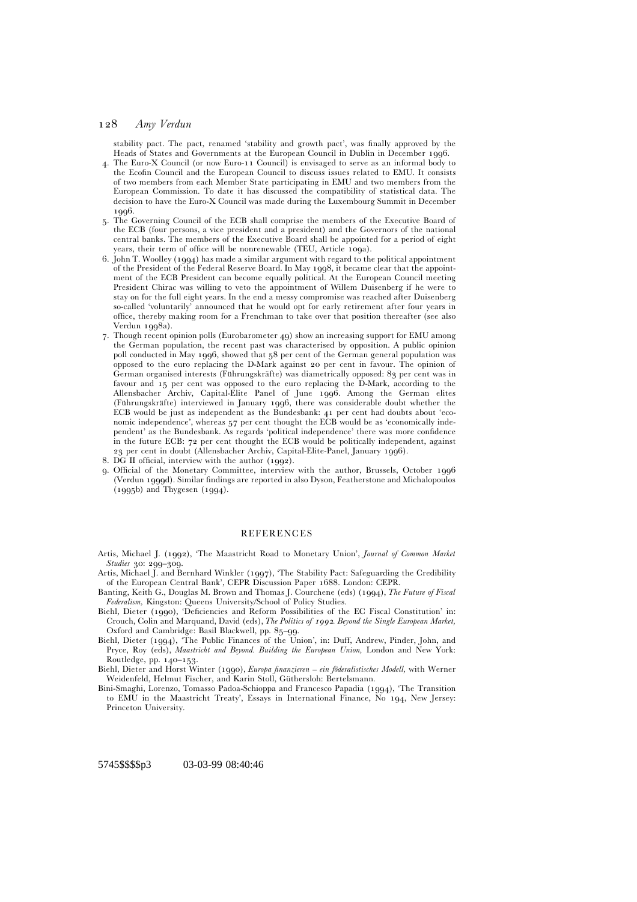stability pact. The pact, renamed 'stability and growth pact', was finally approved by the Heads of States and Governments at the European Council in Dublin in December 1996.

- 4. The Euro-X Council (or now Euro-11 Council) is envisaged to serve as an informal body to the Ecofin Council and the European Council to discuss issues related to EMU. It consists of two members from each Member State participating in EMU and two members from the European Commission. To date it has discussed the compatibility of statistical data. The decision to have the Euro-X Council was made during the Luxembourg Summit in December 1996.
- 5. The Governing Council of the ECB shall comprise the members of the Executive Board of the ECB (four persons, a vice president and a president) and the Governors of the national central banks. The members of the Executive Board shall be appointed for a period of eight years, their term of office will be nonrenewable (TEU, Article 109a).
- 6. John T. Woolley (1994) has made a similar argument with regard to the political appointment of the President of the Federal Reserve Board. In May 1998, it became clear that the appointment of the ECB President can become equally political. At the European Council meeting President Chirac was willing to veto the appointment of Willem Duisenberg if he were to stay on for the full eight years. In the end a messy compromise was reached after Duisenberg so-called 'voluntarily' announced that he would opt for early retirement after four years in office, thereby making room for a Frenchman to take over that position thereafter (see also Verdun 1998a).
- 7. Though recent opinion polls (Eurobarometer 49) show an increasing support for EMU among the German population, the recent past was characterised by opposition. A public opinion poll conducted in May 1996, showed that 58 per cent of the German general population was opposed to the euro replacing the D-Mark against 20 per cent in favour. The opinion of German organised interests (Führungskräfte) was diametrically opposed: 83 per cent was in favour and 15 per cent was opposed to the euro replacing the D-Mark, according to the Allensbacher Archiv, Capital-Elite Panel of June 1996. Among the German elites (Führungskräfte) interviewed in January 1996, there was considerable doubt whether the ECB would be just as independent as the Bundesbank: 41 per cent had doubts about 'economic independence', whereas 57 per cent thought the ECB would be as 'economically independent' as the Bundesbank. As regards 'political independence' there was more confidence in the future ECB: 72 per cent thought the ECB would be politically independent, against 23 per cent in doubt (Allensbacher Archiv, Capital-Elite-Panel, January 1996).
- 8. DG II official, interview with the author (1992).
- 9. Official of the Monetary Committee, interview with the author, Brussels, October 1996 (Verdun 1999d). Similar findings are reported in also Dyson, Featherstone and Michalopoulos (1995b) and Thygesen (1994).

#### **REFERENCES**

Artis, Michael J. (1992), 'The Maastricht Road to Monetary Union', *Journal of Common Market Studies* 30: 299–309.

- Artis, Michael J. and Bernhard Winkler (1997), 'The Stability Pact: Safeguarding the Credibility of the European Central Bank', CEPR Discussion Paper 1688. London: CEPR.
- Banting, Keith G., Douglas M. Brown and Thomas J. Courchene (eds) (1994), *The Future of Fiscal Federalism,* Kingston: Queens University/School of Policy Studies.
- Biehl, Dieter (1990), 'Deficiencies and Reform Possibilities of the EC Fiscal Constitution' in: Crouch, Colin and Marquand, David (eds), *The Politics of 1992. Beyond the Single European Market,* Oxford and Cambridge: Basil Blackwell, pp. 85–99.
- Biehl, Dieter (1994), 'The Public Finances of the Union', in: Duff, Andrew, Pinder, John, and Pryce, Roy (eds), *Maastricht and Beyond. Building the European Union,* London and New York: Routledge, pp. 140–153.
- Biehl, Dieter and Horst Winter (1990), *Europa finanzieren ein föderalistisches Modell*, with Werner Weidenfeld, Helmut Fischer, and Karin Stoll, Güthersloh: Bertelsmann.
- Bini-Smaghi, Lorenzo, Tomasso Padoa-Schioppa and Francesco Papadia (1994), 'The Transition to EMU in the Maastricht Treaty', Essays in International Finance, No 194, New Jersey: Princeton University.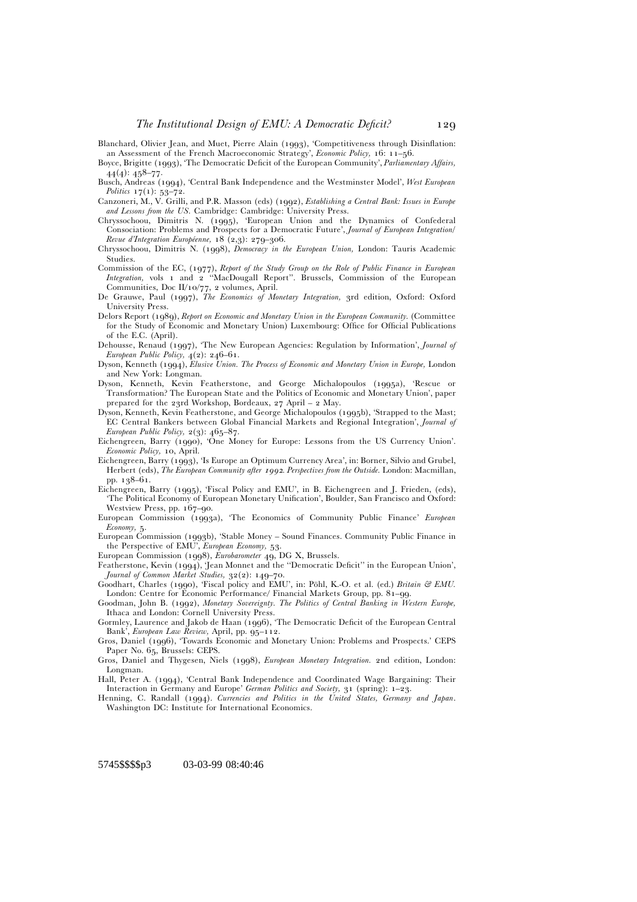- Blanchard, Olivier Jean, and Muet, Pierre Alain (1993), 'Competitiveness through Disinflation: an Assessment of the French Macroeconomic Strategy', *Economic Policy,* 16: 11–56.
- Boyce, Brigitte (1993), 'The Democratic Deficit of the European Community', *Parliamentary Affairs,*  $44(4): 458 - 77.$
- Busch, Andreas (1994), 'Central Bank Independence and the Westminster Model', *West European Politics* 17(1): 53–72.
- Canzoneri, M., V. Grilli, and P.R. Masson (eds) (1992), *Establishing a Central Bank: Issues in Europe and Lessons from the US.* Cambridge: Cambridge: University Press.
- Chryssochoou, Dimitris N. (1995), 'European Union and the Dynamics of Confederal Consociation: Problems and Prospects for a Democratic Future', *Journal of European Integration/ Revue d'Integration Europe´enne,* 18 (2,3): 279–306.
- Chryssochoou, Dimitris N. (1998), *Democracy in the European Union,* London: Tauris Academic Studies.
- Commission of the EC, (1977), *Report of the Study Group on the Role of Public Finance in European Integration,* vols 1 and 2 ''MacDougall Report''. Brussels, Commission of the European Communities, Doc II/10/77, 2 volumes, April.
- De Grauwe, Paul (1997), *The Economics of Monetary Integration,* 3rd edition, Oxford: Oxford University Press.
- Delors Report (1989), *Report on Economic and Monetary Union in the European Community.* (Committee for the Study of Economic and Monetary Union) Luxembourg: Office for Official Publications of the E.C. (April).
- Dehousse, Renaud (1997), 'The New European Agencies: Regulation by Information', *Journal of European Public Policy,* 4(2): 246–61.
- Dyson, Kenneth (1994), *Elusive Union. The Process of Economic and Monetary Union in Europe,* London and New York: Longman.
- Dyson, Kenneth, Kevin Featherstone, and George Michalopoulos (1995a), 'Rescue or Transformation? The European State and the Politics of Economic and Monetary Union', paper prepared for the 23rd Workshop, Bordeaux, 27 April – 2 May.
- Dyson, Kenneth, Kevin Featherstone, and George Michalopoulos (1995b), 'Strapped to the Mast; EC Central Bankers between Global Financial Markets and Regional Integration', *Journal of European Public Policy,* 2(3): 465–87.
- Eichengreen, Barry (1990), 'One Money for Europe: Lessons from the US Currency Union'. *Economic Policy,* 10, April.
- Eichengreen, Barry (1993), 'Is Europe an Optimum Currency Area', in: Borner, Silvio and Grubel, Herbert (eds), *The European Community after 1992. Perspectives from the Outside.* London: Macmillan, pp. 138–61.
- Eichengreen, Barry (1995), 'Fiscal Policy and EMU', in B. Eichengreen and J. Frieden, (eds), 'The Political Economy of European Monetary Unification', Boulder, San Francisco and Oxford: Westview Press, pp. 167–90.
- European Commission (1993a), 'The Economics of Community Public Finance' *European Economy,* 5.

European Commission (1993b), 'Stable Money – Sound Finances. Community Public Finance in the Perspective of EMU', *European Economy,* 53.

European Commission (1998), *Eurobarometer* 49, DG X, Brussels.

Featherstone, Kevin (1994), 'Jean Monnet and the ''Democratic Deficit'' in the European Union', *Journal of Common Market Studies,* 32(2): 149–70.

- Goodhart, Charles (1990), 'Fiscal policy and EMU', in: Pöhl, K.-O. et al. (ed.) *Britain & EMU*. London: Centre for Economic Performance/ Financial Markets Group, pp. 81–99.
- Goodman, John B. (1992), *Monetary Sovereignty. The Politics of Central Banking in Western Europe,* Ithaca and London: Cornell University Press.
- Gormley, Laurence and Jakob de Haan (1996), 'The Democratic Deficit of the European Central Bank', *European Law Review,* April, pp. 95–112.
- Gros, Daniel (1996), 'Towards Economic and Monetary Union: Problems and Prospects.' CEPS Paper No. 65, Brussels: CEPS.
- Gros, Daniel and Thygesen, Niels (1998), *European Monetary Integration.* 2nd edition, London: Longman.
- Hall, Peter A. (1994), 'Central Bank Independence and Coordinated Wage Bargaining: Their Interaction in Germany and Europe' *German Politics and Society,* 31 (spring): 1–23.
- Henning, C. Randall (1994). *Currencies and Politics in the United States, Germany and Japan*. Washington DC: Institute for International Economics.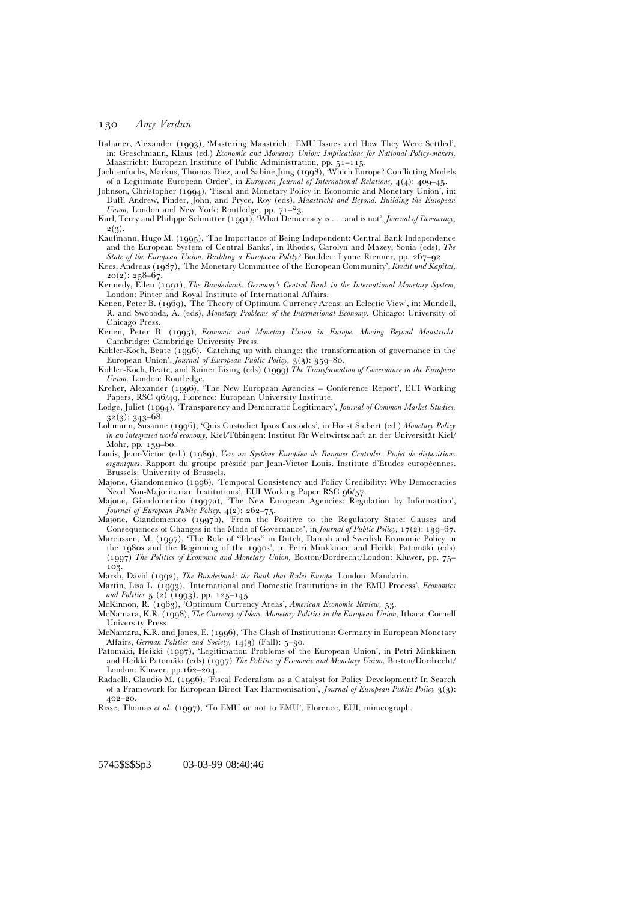- Italianer, Alexander (1993), 'Mastering Maastricht: EMU Issues and How They Were Settled', in: Greschmann, Klaus (ed.) *Economic and Monetary Union: Implications for National Policy-makers,* Maastricht: European Institute of Public Administration, pp. 51–115.
- Jachtenfuchs, Markus, Thomas Diez, and Sabine Jung (1998), 'Which Europe? Conflicting Models of a Legitimate European Order', in *European Journal of International Relations,* 4(4): 409–45.
- Johnson, Christopher (1994), 'Fiscal and Monetary Policy in Economic and Monetary Union', in: Duff, Andrew, Pinder, John, and Pryce, Roy (eds), *Maastricht and Beyond. Building the European Union,* London and New York: Routledge, pp. 71–83.
- Karl, Terry and Philippe Schmitter (1991), 'What Democracy is . . . and is not', *Journal of Democracy,*  $2(3).$
- Kaufmann, Hugo M. (1995), 'The Importance of Being Independent: Central Bank Independence and the European System of Central Banks', in Rhodes, Carolyn and Mazey, Sonia (eds), *The State of the European Union. Building a European Polity?* Boulder: Lynne Rienner, pp. 267–92.
- Kees, Andreas (1987), 'The Monetary Committee of the European Community', *Kredit und Kapital,* 20(2): 258–67.
- Kennedy, Ellen (1991), *The Bundesbank. Germany's Central Bank in the International Monetary System,* London: Pinter and Royal Institute of International Affairs.
- Kenen, Peter B. (1969), 'The Theory of Optimum Currency Areas: an Eclectic View', in: Mundell, R. and Swoboda, A. (eds), *Monetary Problems of the International Economy.* Chicago: University of Chicago Press.
- Kenen, Peter B. (1995), *Economic and Monetary Union in Europe. Moving Beyond Maastricht.* Cambridge: Cambridge University Press.
- Kohler-Koch, Beate (1996), 'Catching up with change: the transformation of governance in the European Union', *Journal of European Public Policy,* 3(3): 359–80.
- Kohler-Koch, Beate, and Rainer Eising (eds) (1999) *The Transformation of Governance in the European Union.* London: Routledge.
- Kreher, Alexander (1996), 'The New European Agencies Conference Report', EUI Working Papers, RSC 96/49, Florence: European University Institute.
- Lodge, Juliet (1994), 'Transparency and Democratic Legitimacy', *Journal of Common Market Studies,* 32(3): 343–68.
- Lohmann, Susanne (1996), 'Quis Custodiet Ipsos Custodes', in Horst Siebert (ed.) *Monetary Policy* in an integrated world economy, Kiel/Tübingen: Institut für Weltwirtschaft an der Universität Kiel/ Mohr, pp. 139–60.
- Louis, Jean-Victor (ed.) (1989), *Vers un Système Européen de Banques Centrales. Projet de dispositions organiques*. Rapport du groupe présidé par Jean-Victor Louis. Institute d'Etudes européennes. Brussels: University of Brussels.
- Majone, Giandomenico (1996), 'Temporal Consistency and Policy Credibility: Why Democracies Need Non-Majoritarian Institutions', EUI Working Paper RSC 96/57.
- Majone, Giandomenico (1997a), 'The New European Agencies: Regulation by Information', *Journal of European Public Policy,* 4(2): 262–75.
- Majone, Giandomenico (1997b), 'From the Positive to the Regulatory State: Causes and Consequences of Changes in the Mode of Governance', in *Journal of Public Policy,* 17(2): 139–67.
- Marcussen, M. (1997), 'The Role of ''Ideas'' in Dutch, Danish and Swedish Economic Policy in the 1980s and the Beginning of the 1990s', in Petri Minkkinen and Heikki Patomäki (eds) (1997) *The Politics of Economic and Monetary Union,* Boston/Dordrecht/London: Kluwer, pp. 75– 103.
- Marsh, David (1992), *The Bundesbank: the Bank that Rules Europe*. London: Mandarin.
- Martin, Lisa L. (1993), 'International and Domestic Institutions in the EMU Process', *Economics and Politics* 5 (2) (1993), pp. 125–145.
- McKinnon, R. (1963), 'Optimum Currency Areas', *American Economic Review,* 53.
- McNamara, K.R. (1998), *The Currency of Ideas. Monetary Politics in the European Union,* Ithaca: Cornell University Press.
- McNamara, K.R. and Jones, E. (1996), 'The Clash of Institutions: Germany in European Monetary Affairs, *German Politics and Society,* 14(3) (Fall): 5–30.
- Patomäki, Heikki (1997), 'Legitimation Problems of the European Union', in Petri Minkkinen and Heikki Patomäki (eds) (1997) The Politics of Economic and Monetary Union, Boston/Dordrecht/ London: Kluwer, pp.162–204.
- Radaelli, Claudio M. (1996), 'Fiscal Federalism as a Catalyst for Policy Development? In Search of a Framework for European Direct Tax Harmonisation', *Journal of European Public Policy* 3(3): 402–20.

Risse, Thomas *et al.* (1997), 'To EMU or not to EMU', Florence, EUI, mimeograph.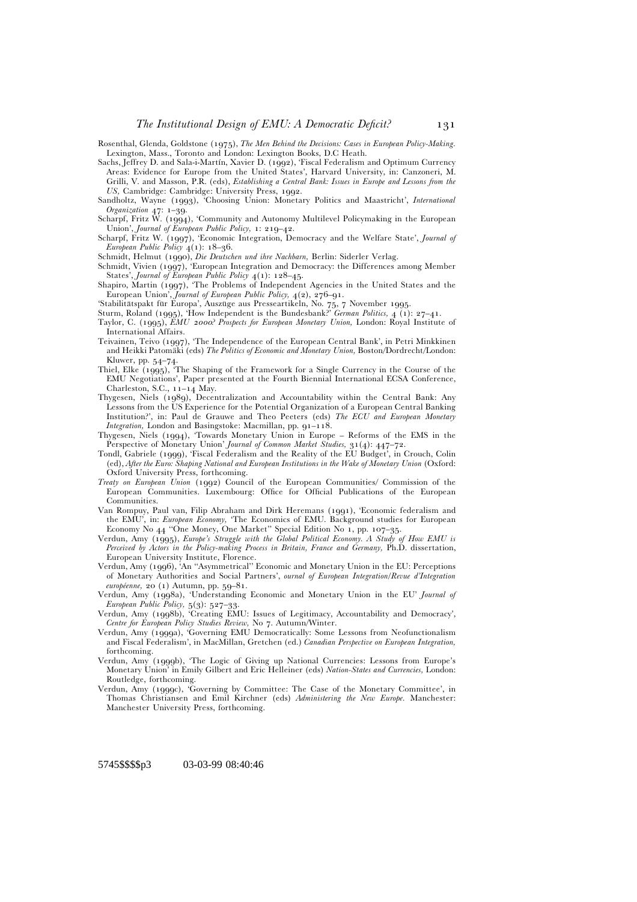- Rosenthal, Glenda, Goldstone (1975), *The Men Behind the Decisions: Cases in European Policy-Making.* Lexington, Mass., Toronto and London: Lexington Books, D.C Heath.
- Sachs, Jeffrey D. and Sala-i-Martín, Xavier D. (1992), 'Fiscal Federalism and Optimum Currency Areas: Evidence for Europe from the United States', Harvard University, in: Canzoneri, M. Grilli, V. and Masson, P.R. (eds), *Establishing a Central Bank: Issues in Europe and Lessons from the US,* Cambridge: Cambridge: University Press, 1992.
- Sandholtz, Wayne (1993), 'Choosing Union: Monetary Politics and Maastricht', *International Organization* 47: 1–39.
- Scharpf, Fritz W. (1994), 'Community and Autonomy Multilevel Policymaking in the European Union', *Journal of European Public Policy,* 1: 219–42.
- Scharpf, Fritz W. (1997), 'Economic Integration, Democracy and the Welfare State', *Journal of European Public Policy* 4(1): 18–36.
- Schmidt, Helmut (1990), *Die Deutschen und ihre Nachbarn,* Berlin: Siderler Verlag.
- Schmidt, Vivien (1997), 'European Integration and Democracy: the Differences among Member States', *Journal of European Public Policy* 4(1): 128–45.
- Shapiro, Martin (1997), 'The Problems of Independent Agencies in the United States and the European Union', *Journal of European Public Policy,* 4(2), 276–91.
- 'Stabilitätspakt für Europa', Auszüge aus Presseartikeln, No. 75, 7 November 1995.
- Sturm, Roland (1995), 'How Independent is the Bundesbank?' *German Politics,* 4 (1): 27–41. Taylor, C. (1995), *EMU 2000? Prospects for European Monetary Union,* London: Royal Institute of International Affairs.
- Teivainen, Teivo (1997), 'The Independence of the European Central Bank', in Petri Minkkinen and Heikki Patomäki (eds) *The Politics of Economic and Monetary Union*, Boston/Dordrecht/London: Kluwer, pp. 54–74.
- Thiel, Elke (1995), 'The Shaping of the Framework for a Single Currency in the Course of the EMU Negotiations', Paper presented at the Fourth Biennial International ECSA Conference, Charleston, S.C., 11–14 May.
- Thygesen, Niels (1989), Decentralization and Accountability within the Central Bank: Any Lessons from the US Experience for the Potential Organization of a European Central Banking Institution?', in: Paul de Grauwe and Theo Peeters (eds) *The ECU and European Monetary Integration,* London and Basingstoke: Macmillan, pp. 91–118.
- Thygesen, Niels (1994), 'Towards Monetary Union in Europe Reforms of the EMS in the Perspective of Monetary Union' *Journal of Common Market Studies,* 31(4): 447–72.
- Tondl, Gabriele (1999), 'Fiscal Federalism and the Reality of the EU Budget', in Crouch, Colin (ed), *After the Euro: Shaping National and European Institutions in the Wake of Monetary Union* (Oxford: Oxford University Press, forthcoming.
- *Treaty on European Union* (1992) Council of the European Communities/ Commission of the European Communities. Luxembourg: Office for Official Publications of the European Communities.
- Van Rompuy, Paul van, Filip Abraham and Dirk Heremans (1991), 'Economic federalism and the EMU', in: *European Economy,* 'The Economics of EMU. Background studies for European Economy No 44 "One Money, One Market" Special Edition No 1, pp. 107-35.
- Verdun, Amy (1995), *Europe's Struggle with the Global Political Economy. A Study of How EMU is Perceived by Actors in the Policy-making Process in Britain, France and Germany,* Ph.D. dissertation, European University Institute, Florence.
- Verdun, Amy (1996), 'An ''Asymmetrical'' Economic and Monetary Union in the EU: Perceptions of Monetary Authorities and Social Partners', *ournal of European Integration/Revue d'Integration européenne*, 20 (1) Autumn, pp. 59-81.
- Verdun, Amy (1998a), 'Understanding Economic and Monetary Union in the EU' *Journal of European Public Policy,* 5(3): 527–33.
- Verdun, Amy (1998b), 'Creating EMU: Issues of Legitimacy, Accountability and Democracy', *Centre for European Policy Studies Review,* No 7. Autumn/Winter.
- Verdun, Amy (1999a), 'Governing EMU Democratically: Some Lessons from Neofunctionalism and Fiscal Federalism', in MacMillan, Gretchen (ed.) *Canadian Perspective on European Integration,* forthcoming.
- Verdun, Amy (1999b), 'The Logic of Giving up National Currencies: Lessons from Europe's Monetary Union' in Emily Gilbert and Eric Helleiner (eds) *Nation-States and Currencies,* London: Routledge, forthcoming.
- Verdun, Amy (1999c), 'Governing by Committee: The Case of the Monetary Committee', in Thomas Christiansen and Emil Kirchner (eds) *Administering the New Europe.* Manchester: Manchester University Press, forthcoming.